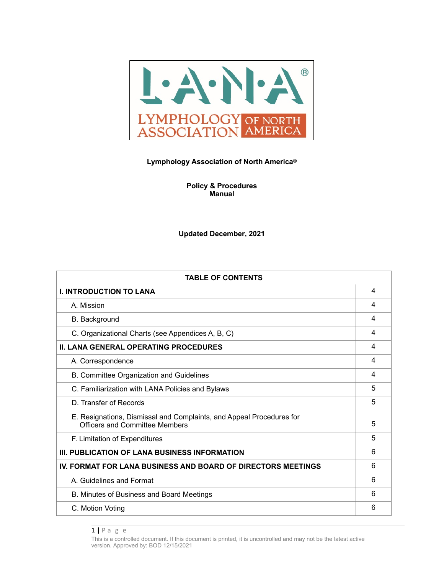

### **Lymphology Association of North America®**

**Policy & Procedures Manual** 

**Updated December, 2021**

| <b>TABLE OF CONTENTS</b>                                                                                      |   |
|---------------------------------------------------------------------------------------------------------------|---|
| <b>I. INTRODUCTION TO LANA</b>                                                                                | 4 |
| A. Mission                                                                                                    | 4 |
| B. Background                                                                                                 | 4 |
| C. Organizational Charts (see Appendices A, B, C)                                                             | 4 |
| <b>II. LANA GENERAL OPERATING PROCEDURES</b>                                                                  | 4 |
| A. Correspondence                                                                                             | 4 |
| B. Committee Organization and Guidelines                                                                      | 4 |
| C. Familiarization with LANA Policies and Bylaws                                                              | 5 |
| D. Transfer of Records                                                                                        | 5 |
| E. Resignations, Dismissal and Complaints, and Appeal Procedures for<br><b>Officers and Committee Members</b> | 5 |
| F. Limitation of Expenditures                                                                                 | 5 |
| III. PUBLICATION OF LANA BUSINESS INFORMATION                                                                 | 6 |
| <b>IV. FORMAT FOR LANA BUSINESS AND BOARD OF DIRECTORS MEETINGS</b>                                           | 6 |
| A. Guidelines and Format                                                                                      | 6 |
| B. Minutes of Business and Board Meetings                                                                     | 6 |
| C. Motion Voting                                                                                              | 6 |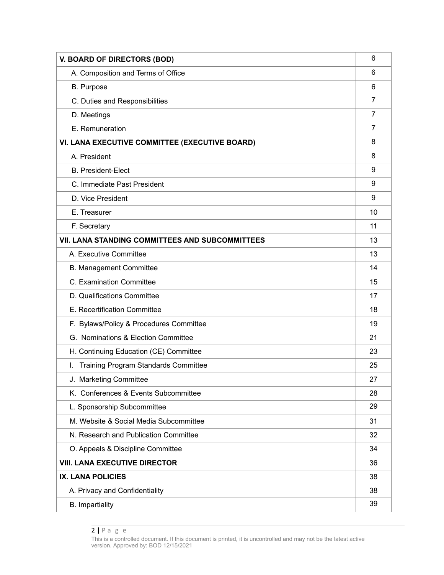| <b>V. BOARD OF DIRECTORS (BOD)</b>                     |    |
|--------------------------------------------------------|----|
| A. Composition and Terms of Office                     | 6  |
| <b>B.</b> Purpose                                      | 6  |
| C. Duties and Responsibilities                         | 7  |
| D. Meetings                                            | 7  |
| E. Remuneration                                        | 7  |
| VI. LANA EXECUTIVE COMMITTEE (EXECUTIVE BOARD)         | 8  |
| A. President                                           | 8  |
| <b>B. President-Elect</b>                              | 9  |
| C. Immediate Past President                            | 9  |
| D. Vice President                                      | 9  |
| E. Treasurer                                           | 10 |
| F. Secretary                                           | 11 |
| <b>VII. LANA STANDING COMMITTEES AND SUBCOMMITTEES</b> | 13 |
| A. Executive Committee                                 | 13 |
| <b>B. Management Committee</b>                         | 14 |
| C. Examination Committee                               | 15 |
| D. Qualifications Committee                            | 17 |
| E. Recertification Committee                           | 18 |
| F. Bylaws/Policy & Procedures Committee                | 19 |
| G. Nominations & Election Committee                    | 21 |
| H. Continuing Education (CE) Committee                 | 23 |
| <b>Training Program Standards Committee</b><br>L.      | 25 |
| J. Marketing Committee                                 | 27 |
| K. Conferences & Events Subcommittee                   | 28 |
| L. Sponsorship Subcommittee                            | 29 |
| M. Website & Social Media Subcommittee                 | 31 |
| N. Research and Publication Committee                  | 32 |
| O. Appeals & Discipline Committee                      | 34 |
| <b>VIII. LANA EXECUTIVE DIRECTOR</b>                   | 36 |
| <b>IX. LANA POLICIES</b>                               | 38 |
| A. Privacy and Confidentiality                         | 38 |
| <b>B.</b> Impartiality                                 | 39 |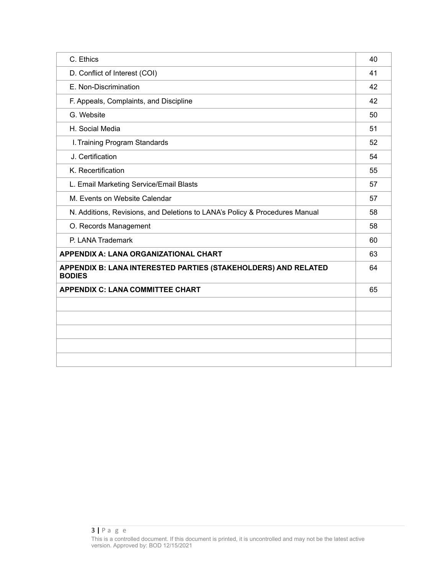| C. Ethics                                                                       | 40 |
|---------------------------------------------------------------------------------|----|
| D. Conflict of Interest (COI)                                                   | 41 |
| E. Non-Discrimination                                                           | 42 |
| F. Appeals, Complaints, and Discipline                                          | 42 |
| G. Website                                                                      | 50 |
| H. Social Media                                                                 | 51 |
| I. Training Program Standards                                                   | 52 |
| J. Certification                                                                | 54 |
| K. Recertification                                                              | 55 |
| L. Email Marketing Service/Email Blasts                                         | 57 |
| M. Events on Website Calendar                                                   | 57 |
| N. Additions, Revisions, and Deletions to LANA's Policy & Procedures Manual     | 58 |
| O. Records Management                                                           | 58 |
| P. LANA Trademark                                                               | 60 |
| <b>APPENDIX A: LANA ORGANIZATIONAL CHART</b>                                    | 63 |
| APPENDIX B: LANA INTERESTED PARTIES (STAKEHOLDERS) AND RELATED<br><b>BODIES</b> | 64 |
| <b>APPENDIX C: LANA COMMITTEE CHART</b>                                         | 65 |
|                                                                                 |    |
|                                                                                 |    |
|                                                                                 |    |
|                                                                                 |    |
|                                                                                 |    |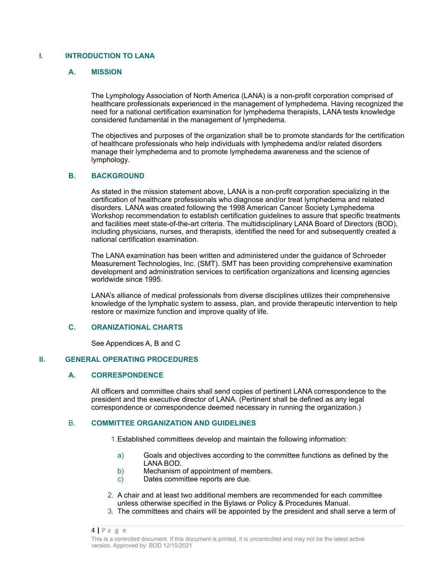### **I. INTRODUCTION TO LANA**

### **A. MISSION**

The Lymphology Association of North America (LANA) is a non-profit corporation comprised of healthcare professionals experienced in the management of lymphedema. Having recognized the need for a national certification examination for lymphedema therapists, LANA tests knowledge considered fundamental in the management of lymphedema.

The objectives and purposes of the organization shall be to promote standards for the certification of healthcare professionals who help individuals with lymphedema and/or related disorders manage their lymphedema and to promote lymphedema awareness and the science of lymphology.

### **B. BACKGROUND**

As stated in the mission statement above, LANA is a non-profit corporation specializing in the certification of healthcare professionals who diagnose and/or treat lymphedema and related disorders. LANA was created following the 1998 American Cancer Society Lymphedema Workshop recommendation to establish certification guidelines to assure that specific treatments and facilities meet state-of-the-art criteria. The multidisciplinary LANA Board of Directors (BOD), including physicians, nurses, and therapists, identified the need for and subsequently created a national certification examination.

The LANA examination has been written and administered under the guidance of Schroeder Measurement Technologies, Inc. (SMT). SMT has been providing comprehensive examination development and administration services to certification organizations and licensing agencies worldwide since 1995.

LANA's alliance of medical professionals from diverse disciplines utilizes their comprehensive knowledge of the lymphatic system to assess, plan, and provide therapeutic intervention to help restore or maximize function and improve quality of life.

### **C. ORANIZATIONAL CHARTS**

See Appendices A, B and C

### **II. GENERAL OPERATING PROCEDURES**

### **A. CORRESPONDENCE**

All officers and committee chairs shall send copies of pertinent LANA correspondence to the president and the executive director of LANA. (Pertinent shall be defined as any legal correspondence or correspondence deemed necessary in running the organization.)

### B. **COMMITTEE ORGANIZATION AND GUIDELINES**

1.Established committees develop and maintain the following information:

- a) Goals and objectives according to the committee functions as defined by the LANA BOD.
- b) Mechanism of appointment of members.
- c) Dates committee reports are due.
- 2. A chair and at least two additional members are recommended for each committee unless otherwise specified in the Bylaws or Policy & Procedures Manual.
- 3. The committees and chairs will be appointed by the president and shall serve a term of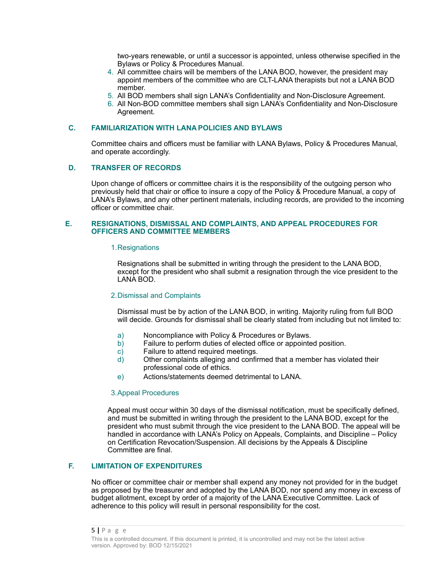two-years renewable, or until a successor is appointed, unless otherwise specified in the Bylaws or Policy & Procedures Manual.

- 4. All committee chairs will be members of the LANA BOD, however, the president may appoint members of the committee who are CLT-LANA therapists but not a LANA BOD member.
- 5. All BOD members shall sign LANA's Confidentiality and Non-Disclosure Agreement.
- 6. All Non-BOD committee members shall sign LANA's Confidentiality and Non-Disclosure Agreement.

### **C. FAMILIARIZATION WITH LANA POLICIES AND BYLAWS**

Committee chairs and officers must be familiar with LANA Bylaws, Policy & Procedures Manual, and operate accordingly.

### **D. TRANSFER OF RECORDS**

Upon change of officers or committee chairs it is the responsibility of the outgoing person who previously held that chair or office to insure a copy of the Policy & Procedure Manual, a copy of LANA's Bylaws, and any other pertinent materials, including records, are provided to the incoming officer or committee chair.

#### **E. RESIGNATIONS, DISMISSAL AND COMPLAINTS, AND APPEAL PROCEDURES FOR OFFICERS AND COMMITTEE MEMBERS**

#### 1.Resignations

Resignations shall be submitted in writing through the president to the LANA BOD, except for the president who shall submit a resignation through the vice president to the LANA BOD.

#### 2.Dismissal and Complaints

Dismissal must be by action of the LANA BOD, in writing. Majority ruling from full BOD will decide. Grounds for dismissal shall be clearly stated from including but not limited to:

- a) Noncompliance with Policy & Procedures or Bylaws.
- Failure to perform duties of elected office or appointed position.
- c) Failure to attend required meetings.
- d) Other complaints alleging and confirmed that a member has violated their professional code of ethics.
- e) Actions/statements deemed detrimental to LANA.

#### 3.Appeal Procedures

Appeal must occur within 30 days of the dismissal notification, must be specifically defined, and must be submitted in writing through the president to the LANA BOD, except for the president who must submit through the vice president to the LANA BOD. The appeal will be handled in accordance with LANA's Policy on Appeals, Complaints, and Discipline – Policy on Certification Revocation/Suspension. All decisions by the Appeals & Discipline Committee are final.

#### **F. LIMITATION OF EXPENDITURES**

No officer or committee chair or member shall expend any money not provided for in the budget as proposed by the treasurer and adopted by the LANA BOD, nor spend any money in excess of budget allotment, except by order of a majority of the LANA Executive Committee. Lack of adherence to this policy will result in personal responsibility for the cost.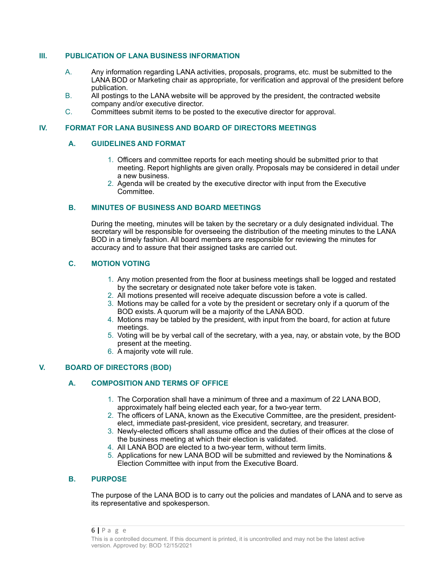### **III. PUBLICATION OF LANA BUSINESS INFORMATION**

- A. Any information regarding LANA activities, proposals, programs, etc. must be submitted to the LANA BOD or Marketing chair as appropriate, for verification and approval of the president before publication.
- B. All postings to the LANA website will be approved by the president, the contracted website company and/or executive director.
- C. Committees submit items to be posted to the executive director for approval.

#### **IV. FORMAT FOR LANA BUSINESS AND BOARD OF DIRECTORS MEETINGS**

#### **A. GUIDELINES AND FORMAT**

- 1. Officers and committee reports for each meeting should be submitted prior to that meeting. Report highlights are given orally. Proposals may be considered in detail under a new business.
- 2. Agenda will be created by the executive director with input from the Executive Committee.

### **B. MINUTES OF BUSINESS AND BOARD MEETINGS**

During the meeting, minutes will be taken by the secretary or a duly designated individual. The secretary will be responsible for overseeing the distribution of the meeting minutes to the LANA BOD in a timely fashion. All board members are responsible for reviewing the minutes for accuracy and to assure that their assigned tasks are carried out.

### **C. MOTION VOTING**

- 1. Any motion presented from the floor at business meetings shall be logged and restated by the secretary or designated note taker before vote is taken.
- 2. All motions presented will receive adequate discussion before a vote is called.
- 3. Motions may be called for a vote by the president or secretary only if a quorum of the BOD exists. A quorum will be a majority of the LANA BOD.
- 4. Motions may be tabled by the president, with input from the board, for action at future meetings.
- 5. Voting will be by verbal call of the secretary, with a yea, nay, or abstain vote, by the BOD present at the meeting.
- 6. A majority vote will rule.

### **V. BOARD OF DIRECTORS (BOD)**

### **A. COMPOSITION AND TERMS OF OFFICE**

- 1. The Corporation shall have a minimum of three and a maximum of 22 LANA BOD, approximately half being elected each year, for a two-year term.
- 2. The officers of LANA, known as the Executive Committee, are the president, presidentelect, immediate past-president, vice president, secretary, and treasurer.
- 3. Newly-elected officers shall assume office and the duties of their offices at the close of the business meeting at which their election is validated.
- 4. All LANA BOD are elected to a two-year term, without term limits.
- 5. Applications for new LANA BOD will be submitted and reviewed by the Nominations & Election Committee with input from the Executive Board.

### **B. PURPOSE**

The purpose of the LANA BOD is to carry out the policies and mandates of LANA and to serve as its representative and spokesperson.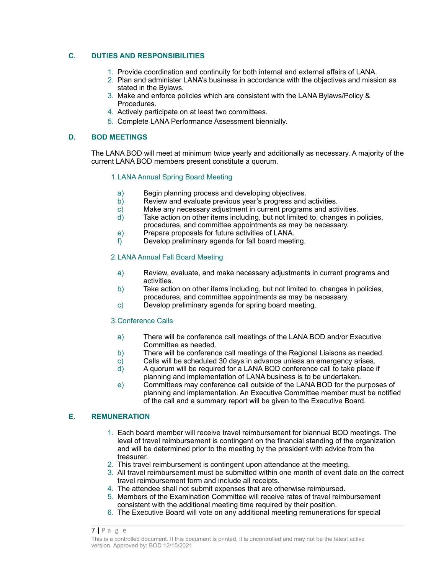### **C. DUTIES AND RESPONSIBILITIES**

- 1. Provide coordination and continuity for both internal and external affairs of LANA.
- 2. Plan and administer LANA's business in accordance with the objectives and mission as stated in the Bylaws.
- 3. Make and enforce policies which are consistent with the LANA Bylaws/Policy & Procedures.
- 4. Actively participate on at least two committees.
- 5. Complete LANA Performance Assessment biennially.

#### **D. BOD MEETINGS**

The LANA BOD will meet at minimum twice yearly and additionally as necessary. A majority of the current LANA BOD members present constitute a quorum.

### 1.LANA Annual Spring Board Meeting

- a) Begin planning process and developing objectives.
- b) Review and evaluate previous year's progress and activities.
- c) Make any necessary adjustment in current programs and activities.<br>d) Take action on other items including, but not limited to, changes in r
- Take action on other items including, but not limited to, changes in policies, procedures, and committee appointments as may be necessary.
- e) Prepare proposals for future activities of LANA.
- f) Develop preliminary agenda for fall board meeting.

### 2.LANA Annual Fall Board Meeting

- a) Review, evaluate, and make necessary adjustments in current programs and activities.
- b) Take action on other items including, but not limited to, changes in policies, procedures, and committee appointments as may be necessary.
- c) Develop preliminary agenda for spring board meeting.

#### 3.Conference Calls

- a) There will be conference call meetings of the LANA BOD and/or Executive Committee as needed.
- b) There will be conference call meetings of the Regional Liaisons as needed.
- c) Calls will be scheduled 30 days in advance unless an emergency arises.
- d) A quorum will be required for a LANA BOD conference call to take place if planning and implementation of LANA business is to be undertaken.
- e) Committees may conference call outside of the LANA BOD for the purposes of planning and implementation. An Executive Committee member must be notified of the call and a summary report will be given to the Executive Board.

### **E. REMUNERATION**

- 1. Each board member will receive travel reimbursement for biannual BOD meetings. The level of travel reimbursement is contingent on the financial standing of the organization and will be determined prior to the meeting by the president with advice from the treasurer.
- 2. This travel reimbursement is contingent upon attendance at the meeting.
- 3. All travel reimbursement must be submitted within one month of event date on the correct travel reimbursement form and include all receipts.
- 4. The attendee shall not submit expenses that are otherwise reimbursed.
- 5. Members of the Examination Committee will receive rates of travel reimbursement consistent with the additional meeting time required by their position.
- 6. The Executive Board will vote on any additional meeting remunerations for special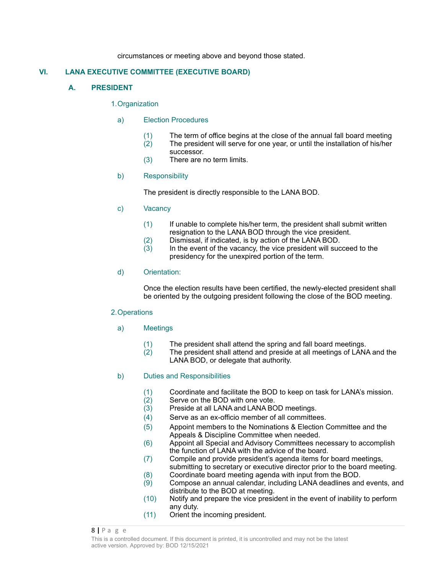circumstances or meeting above and beyond those stated.

### **VI. LANA EXECUTIVE COMMITTEE (EXECUTIVE BOARD)**

### **A. PRESIDENT**

#### 1.Organization

### a) Election Procedures

- (1) The term of office begins at the close of the annual fall board meeting (2) The president will serve for one year, or until the installation of his/her
	- successor.
- (3) There are no term limits.

### b) Responsibility

The president is directly responsible to the LANA BOD.

- c) Vacancy
	- (1) If unable to complete his/her term, the president shall submit written resignation to the LANA BOD through the vice president.
	- (2) Dismissal, if indicated, is by action of the LANA BOD.
	- $(3)$  In the event of the vacancy, the vice president will succeed to the presidency for the unexpired portion of the term.

### d) Orientation:

Once the election results have been certified, the newly-elected president shall be oriented by the outgoing president following the close of the BOD meeting.

#### 2.Operations

- a) Meetings
	- $(1)$  The president shall attend the spring and fall board meetings.<br> $(2)$  The president shall attend and preside at all meetings of LANA
	- The president shall attend and preside at all meetings of LANA and the LANA BOD, or delegate that authority.

### b) Duties and Responsibilities

- (1) Coordinate and facilitate the BOD to keep on task for LANA's mission.<br>(2) Serve on the BOD with one vote.
- Serve on the BOD with one vote.
- (3) Preside at all LANA and LANA BOD meetings.
- (4) Serve as an ex-officio member of all committees.
- (5) Appoint members to the Nominations & Election Committee and the Appeals & Discipline Committee when needed.
- (6) Appoint all Special and Advisory Committees necessary to accomplish the function of LANA with the advice of the board.
- (7) Compile and provide president's agenda items for board meetings, submitting to secretary or executive director prior to the board meeting.
- (8) Coordinate board meeting agenda with input from the BOD.
- (9) Compose an annual calendar, including LANA deadlines and events, and distribute to the BOD at meeting.
- (10) Notify and prepare the vice president in the event of inability to perform any duty.
- (11) Orient the incoming president.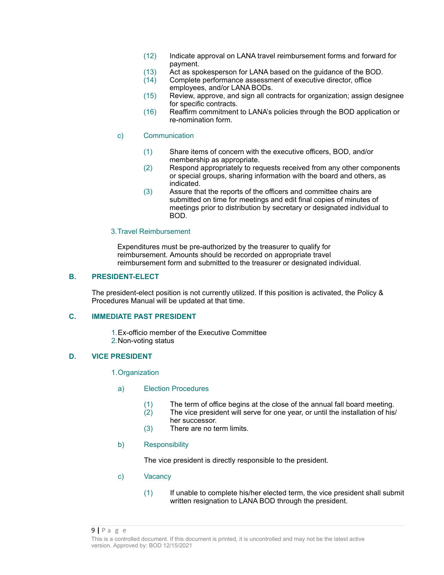- (12) Indicate approval on LANA travel reimbursement forms and forward for payment.
- (13) Act as spokesperson for LANA based on the guidance of the BOD.<br>(14) Complete performance assessment of executive director, office
- Complete performance assessment of executive director, office employees, and/or LANA BODs.
- (15) Review, approve, and sign all contracts for organization; assign designee for specific contracts.
- (16) Reaffirm commitment to LANA's policies through the BOD application or re-nomination form.
- c) Communication
	- (1) Share items of concern with the executive officers, BOD, and/or membership as appropriate.
	- (2) Respond appropriately to requests received from any other components or special groups, sharing information with the board and others, as indicated.
	- (3) Assure that the reports of the officers and committee chairs are submitted on time for meetings and edit final copies of minutes of meetings prior to distribution by secretary or designated individual to BOD.

#### 3.Travel Reimbursement

Expenditures must be pre-authorized by the treasurer to qualify for reimbursement. Amounts should be recorded on appropriate travel reimbursement form and submitted to the treasurer or designated individual.

#### **B. PRESIDENT-ELECT**

The president-elect position is not currently utilized. If this position is activated, the Policy & Procedures Manual will be updated at that time.

### **C. IMMEDIATE PAST PRESIDENT**

1.Ex-officio member of the Executive Committee 2.Non-voting status

#### **D. VICE PRESIDENT**

1.Organization

- a) Election Procedures
	- (1) The term of office begins at the close of the annual fall board meeting.<br>(2) The vice president will serve for one vear, or until the installation of his
	- The vice president will serve for one year, or until the installation of his/ her successor.
	- (3) There are no term limits.

#### b) Responsibility

The vice president is directly responsible to the president.

- c) Vacancy
	- (1) If unable to complete his/her elected term, the vice president shall submit written resignation to LANA BOD through the president.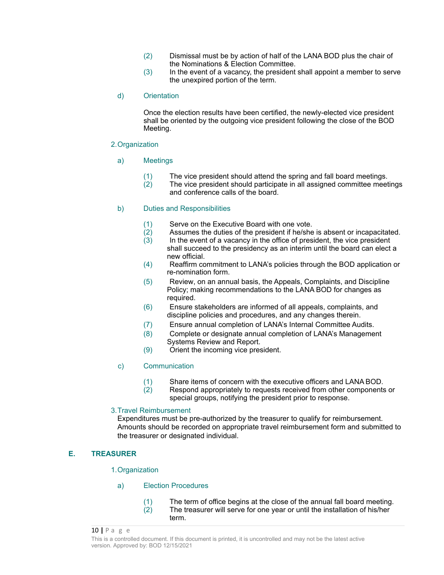- (2) Dismissal must be by action of half of the LANA BOD plus the chair of the Nominations & Election Committee.
- (3) In the event of a vacancy, the president shall appoint a member to serve the unexpired portion of the term.

#### d) Orientation

Once the election results have been certified, the newly-elected vice president shall be oriented by the outgoing vice president following the close of the BOD Meeting.

#### 2.Organization

- a) Meetings
	- $(1)$  The vice president should attend the spring and fall board meetings.<br> $(2)$  The vice president should participate in all assigned committee meet
	- The vice president should participate in all assigned committee meetings and conference calls of the board.

### b) Duties and Responsibilities

- $(1)$  Serve on the Executive Board with one vote.<br> $(2)$  Assumes the duties of the president if he/she
- $(2)$  Assumes the duties of the president if he/she is absent or incapacitated.<br>  $(3)$  In the event of a vacancy in the office of president, the vice president
- In the event of a vacancy in the office of president, the vice president shall succeed to the presidency as an interim until the board can elect a new official.
- (4) Reaffirm commitment to LANA's policies through the BOD application or re-nomination form.
- (5) Review, on an annual basis, the Appeals, Complaints, and Discipline Policy; making recommendations to the LANA BOD for changes as required.
- (6) Ensure stakeholders are informed of all appeals, complaints, and discipline policies and procedures, and any changes therein.
- (7) Ensure annual completion of LANA's Internal Committee Audits.
- (8) Complete or designate annual completion of LANA's Management Systems Review and Report.
- (9) Orient the incoming vice president.

#### c) Communication

- (1) Share items of concern with the executive officers and LANA BOD.<br>(2) Respond appropriately to requests received from other components
- Respond appropriately to requests received from other components or special groups, notifying the president prior to response.

#### 3.Travel Reimbursement

Expenditures must be pre-authorized by the treasurer to qualify for reimbursement. Amounts should be recorded on appropriate travel reimbursement form and submitted to the treasurer or designated individual.

### **E. TREASURER**

#### 1.Organization

#### a) Election Procedures

(1) The term of office begins at the close of the annual fall board meeting. (2) The treasurer will serve for one year or until the installation of his/her term.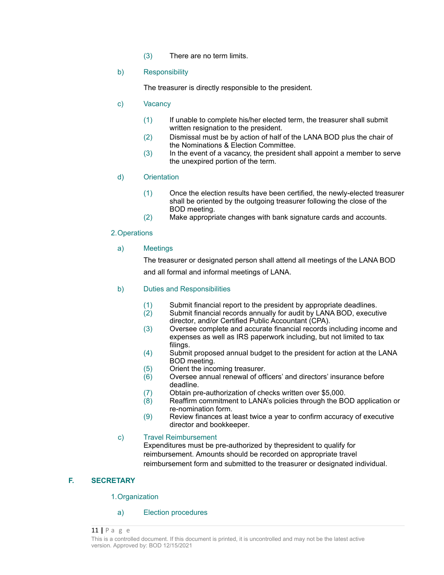(3) There are no term limits.

### b) Responsibility

The treasurer is directly responsible to the president.

### c) Vacancy

- (1) If unable to complete his/her elected term, the treasurer shall submit written resignation to the president.
- (2) Dismissal must be by action of half of the LANA BOD plus the chair of the Nominations & Election Committee.
- (3) In the event of a vacancy, the president shall appoint a member to serve the unexpired portion of the term.

### d) Orientation

- (1) Once the election results have been certified, the newly-elected treasurer shall be oriented by the outgoing treasurer following the close of the BOD meeting.
- (2) Make appropriate changes with bank signature cards and accounts.

### 2.Operations

### a) Meetings

The treasurer or designated person shall attend all meetings of the LANA BOD and all formal and informal meetings of LANA.

### b) Duties and Responsibilities

- $(1)$  Submit financial report to the president by appropriate deadlines.<br> $(2)$  Submit financial records annually for audit by LANA BOD, executi
- Submit financial records annually for audit by LANA BOD, executive director, and/or Certified Public Accountant (CPA).
- (3) Oversee complete and accurate financial records including income and expenses as well as IRS paperwork including, but not limited to tax filings.
- (4) Submit proposed annual budget to the president for action at the LANA BOD meeting.
- (5) Orient the incoming treasurer.
- $(6)$  Oversee annual renewal of officers' and directors' insurance before deadline.
- (7) Obtain pre-authorization of checks written over \$5,000.<br>(8) Reaffirm commitment to LANA's policies through the BO
- Reaffirm commitment to LANA's policies through the BOD application or re-nomination form.
- (9) Review finances at least twice a year to confirm accuracy of executive director and bookkeeper.

### c) Travel Reimbursement

Expenditures must be pre-authorized by thepresident to qualify for reimbursement. Amounts should be recorded on appropriate travel reimbursement form and submitted to the treasurer or designated individual.

### **F. SECRETARY**

1.Organization

#### a) Election procedures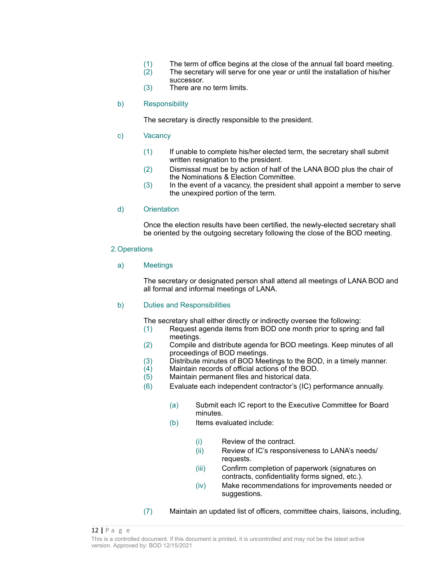- (1) The term of office begins at the close of the annual fall board meeting.<br>(2) The secretary will serve for one year or until the installation of his/her
- The secretary will serve for one year or until the installation of his/her successor.
- (3) There are no term limits.
- b) Responsibility

The secretary is directly responsible to the president.

- c) Vacancy
	- (1) If unable to complete his/her elected term, the secretary shall submit written resignation to the president.
	- (2) Dismissal must be by action of half of the LANA BOD plus the chair of the Nominations & Election Committee.
	- (3) In the event of a vacancy, the president shall appoint a member to serve the unexpired portion of the term.
- d) Orientation

Once the election results have been certified, the newly-elected secretary shall be oriented by the outgoing secretary following the close of the BOD meeting.

#### 2.Operations

### a) Meetings

The secretary or designated person shall attend all meetings of LANA BOD and all formal and informal meetings of LANA.

### b) Duties and Responsibilities

The secretary shall either directly or indirectly oversee the following:

- (1) Request agenda items from BOD one month prior to spring and fall meetings.
- (2) Compile and distribute agenda for BOD meetings. Keep minutes of all proceedings of BOD meetings.
- (3) Distribute minutes of BOD Meetings to the BOD, in a timely manner.
- (4) Maintain records of official actions of the BOD.
- (5) Maintain permanent files and historical data.
- (6) Evaluate each independent contractor's (IC) performance annually.
	- (a) Submit each IC report to the Executive Committee for Board minutes.
	- (b) Items evaluated include:
		- (i) Review of the contract.
		- (ii) Review of IC's responsiveness to LANA's needs/ requests.
		- (iii) Confirm completion of paperwork (signatures on contracts, confidentiality forms signed, etc.).
		- (iv) Make recommendations for improvements needed or suggestions.
- (7) Maintain an updated list of officers, committee chairs, liaisons, including,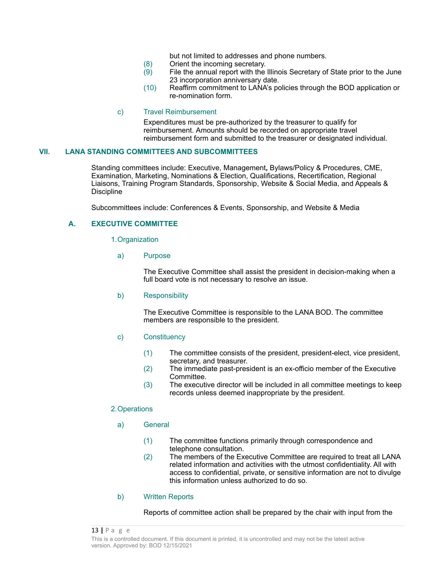but not limited to addresses and phone numbers.

- (8) Orient the incoming secretary.<br>(9) File the annual report with the
- File the annual report with the Illinois Secretary of State prior to the June 23 incorporation anniversary date.
- (10) Reaffirm commitment to LANA's policies through the BOD application or re-nomination form.

#### c) Travel Reimbursement

Expenditures must be pre-authorized by the treasurer to qualify for reimbursement. Amounts should be recorded on appropriate travel reimbursement form and submitted to the treasurer or designated individual.

#### **VII. LANA STANDING COMMITTEES AND SUBCOMMITTEES**

Standing committees include: Executive, Management**,** Bylaws/Policy & Procedures, CME, Examination, Marketing, Nominations & Election, Qualifications, Recertification, Regional Liaisons, Training Program Standards, Sponsorship, Website & Social Media, and Appeals & Discipline

Subcommittees include: Conferences & Events, Sponsorship, and Website & Media

### **A. EXECUTIVE COMMITTEE**

1.Organization

a) Purpose

The Executive Committee shall assist the president in decision-making when a full board vote is not necessary to resolve an issue.

b) Responsibility

The Executive Committee is responsible to the LANA BOD. The committee members are responsible to the president.

- c) Constituency
	- (1) The committee consists of the president, president-elect, vice president, secretary, and treasurer.
	- (2) The immediate past-president is an ex-officio member of the Executive Committee.
	- (3) The executive director will be included in all committee meetings to keep records unless deemed inappropriate by the president.

### 2.Operations

- a) General
	- (1) The committee functions primarily through correspondence and telephone consultation.
	- (2) The members of the Executive Committee are required to treat all LANA related information and activities with the utmost confidentiality. All with access to confidential, private, or sensitive information are not to divulge this information unless authorized to do so.
- b) Written Reports

Reports of committee action shall be prepared by the chair with input from the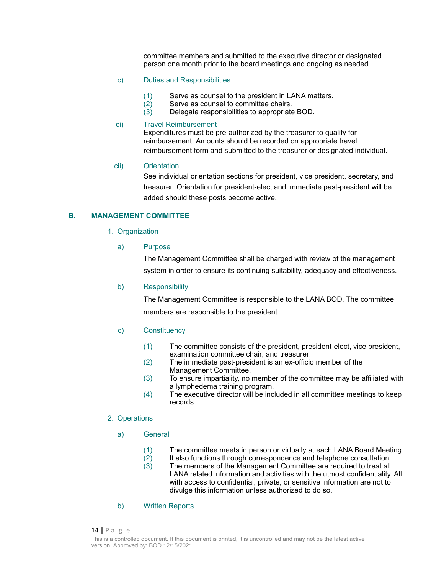committee members and submitted to the executive director or designated person one month prior to the board meetings and ongoing as needed.

#### c) Duties and Responsibilities

- $(1)$  Serve as counsel to the president in LANA matters.<br> $(2)$  Serve as counsel to committee chairs.
- $(2)$  Serve as counsel to committee chairs.<br> $(3)$  Delegate responsibilities to appropriate
- Delegate responsibilities to appropriate BOD.

#### ci) Travel Reimbursement

Expenditures must be pre-authorized by the treasurer to qualify for reimbursement. Amounts should be recorded on appropriate travel reimbursement form and submitted to the treasurer or designated individual.

#### cii) Orientation

See individual orientation sections for president, vice president, secretary, and treasurer. Orientation for president-elect and immediate past-president will be added should these posts become active.

### **B. MANAGEMENT COMMITTEE**

1. Organization

#### a) Purpose

The Management Committee shall be charged with review of the management system in order to ensure its continuing suitability, adequacy and effectiveness.

#### b) Responsibility

The Management Committee is responsible to the LANA BOD. The committee members are responsible to the president.

#### c) Constituency

- (1) The committee consists of the president, president-elect, vice president, examination committee chair, and treasurer.
- (2) The immediate past-president is an ex-officio member of the Management Committee.
- (3) To ensure impartiality, no member of the committee may be affiliated with a lymphedema training program.
- (4) The executive director will be included in all committee meetings to keep records.

#### 2. Operations

- a) General
	- (1) The committee meets in person or virtually at each LANA Board Meeting
	- $(2)$  It also functions through correspondence and telephone consultation.<br> $(3)$  The members of the Management Committee are required to treat all
	- The members of the Management Committee are required to treat all LANA related information and activities with the utmost confidentiality. All with access to confidential, private, or sensitive information are not to divulge this information unless authorized to do so.

#### b) Written Reports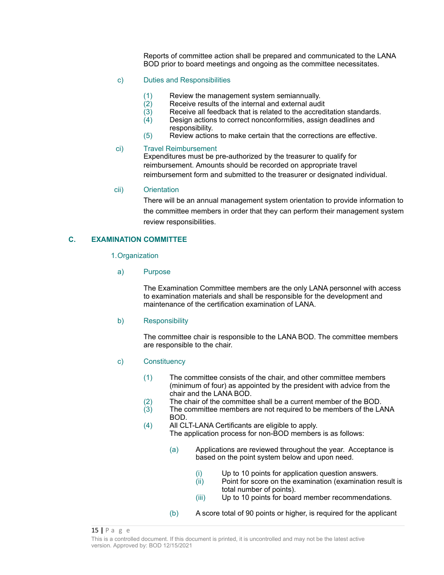Reports of committee action shall be prepared and communicated to the LANA BOD prior to board meetings and ongoing as the committee necessitates.

#### c) Duties and Responsibilities

- $(1)$  Review the management system semiannually.<br> $(2)$  Receive results of the internal and external audi
- $(2)$  Receive results of the internal and external audit  $(3)$  Receive all feedback that is related to the accred
- $\overline{a}(3)$  Receive all feedback that is related to the accreditation standards.<br>(4) Design actions to correct nonconformities, assign deadlines and
- Design actions to correct nonconformities, assign deadlines and responsibility.
- (5) Review actions to make certain that the corrections are effective.

### ci) Travel Reimbursement

Expenditures must be pre-authorized by the treasurer to qualify for reimbursement. Amounts should be recorded on appropriate travel reimbursement form and submitted to the treasurer or designated individual.

### cii) Orientation

There will be an annual management system orientation to provide information to the committee members in order that they can perform their management system review responsibilities.

### **C. EXAMINATION COMMITTEE**

1.Organization

a) Purpose

The Examination Committee members are the only LANA personnel with access to examination materials and shall be responsible for the development and maintenance of the certification examination of LANA.

b) Responsibility

The committee chair is responsible to the LANA BOD. The committee members are responsible to the chair.

- c) Constituency
	- (1) The committee consists of the chair, and other committee members (minimum of four) as appointed by the president with advice from the chair and the LANA BOD.
	- (2) The chair of the committee shall be a current member of the BOD.
	- (3) The committee members are not required to be members of the LANA BOD.
	- (4) All CLT-LANA Certificants are eligible to apply. The application process for non-BOD members is as follows:
		- (a) Applications are reviewed throughout the year. Acceptance is based on the point system below and upon need.
			- (i) Up to 10 points for application question answers.
			- (ii) Point for score on the examination (examination result is total number of points).
			- (iii) Up to 10 points for board member recommendations.
		- (b) A score total of 90 points or higher, is required for the applicant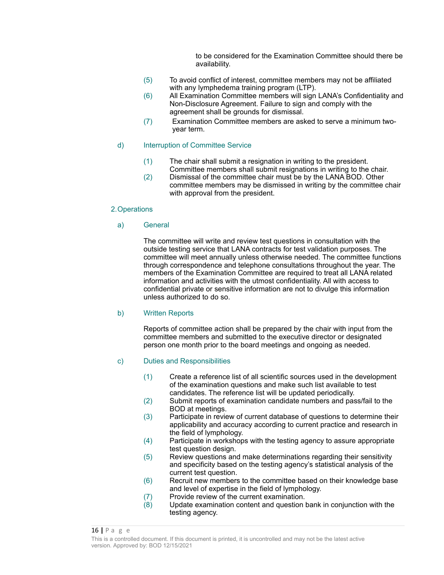to be considered for the Examination Committee should there be availability.

- (5) To avoid conflict of interest, committee members may not be affiliated with any lymphedema training program (LTP).
- (6) All Examination Committee members will sign LANA's Confidentiality and Non-Disclosure Agreement. Failure to sign and comply with the agreement shall be grounds for dismissal.
- (7) Examination Committee members are asked to serve a minimum twoyear term.

#### d) Interruption of Committee Service

- (1) The chair shall submit a resignation in writing to the president. Committee members shall submit resignations in writing to the chair.
- (2) Dismissal of the committee chair must be by the LANA BOD. Other committee members may be dismissed in writing by the committee chair with approval from the president.

### 2.Operations

### a) General

The committee will write and review test questions in consultation with the outside testing service that LANA contracts for test validation purposes. The committee will meet annually unless otherwise needed. The committee functions through correspondence and telephone consultations throughout the year. The members of the Examination Committee are required to treat all LANA related information and activities with the utmost confidentiality. All with access to confidential private or sensitive information are not to divulge this information unless authorized to do so.

#### b) Written Reports

Reports of committee action shall be prepared by the chair with input from the committee members and submitted to the executive director or designated person one month prior to the board meetings and ongoing as needed.

### c) Duties and Responsibilities

- (1) Create a reference list of all scientific sources used in the development of the examination questions and make such list available to test candidates. The reference list will be updated periodically.
- (2) Submit reports of examination candidate numbers and pass/fail to the BOD at meetings.
- (3) Participate in review of current database of questions to determine their applicability and accuracy according to current practice and research in the field of lymphology.
- (4) Participate in workshops with the testing agency to assure appropriate test question design.
- (5) Review questions and make determinations regarding their sensitivity and specificity based on the testing agency's statistical analysis of the current test question.
- (6) Recruit new members to the committee based on their knowledge base and level of expertise in the field of lymphology.
- (7) Provide review of the current examination.<br>(8) Update examination content and question
- Update examination content and question bank in conjunction with the testing agency.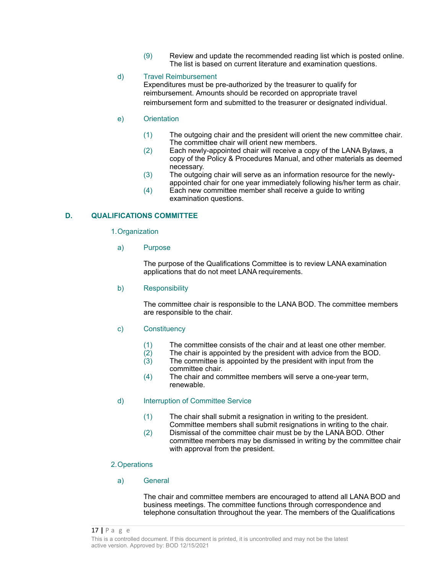(9) Review and update the recommended reading list which is posted online. The list is based on current literature and examination questions.

### d) Travel Reimbursement

Expenditures must be pre-authorized by the treasurer to qualify for reimbursement. Amounts should be recorded on appropriate travel reimbursement form and submitted to the treasurer or designated individual.

#### e) Orientation

- (1) The outgoing chair and the president will orient the new committee chair. The committee chair will orient new members.
- (2) Each newly-appointed chair will receive a copy of the LANA Bylaws, a copy of the Policy & Procedures Manual, and other materials as deemed necessary.
- (3) The outgoing chair will serve as an information resource for the newlyappointed chair for one year immediately following his/her term as chair.
- (4) Each new committee member shall receive a guide to writing examination questions.

### **D. QUALIFICATIONS COMMITTEE**

#### 1.Organization

a) Purpose

The purpose of the Qualifications Committee is to review LANA examination applications that do not meet LANA requirements.

### b) Responsibility

The committee chair is responsible to the LANA BOD. The committee members are responsible to the chair.

#### c) Constituency

- (1) The committee consists of the chair and at least one other member.
- $(2)$  The chair is appointed by the president with advice from the BOD.<br> $(3)$  The committee is appointed by the president with input from the
- The committee is appointed by the president with input from the committee chair.
- (4) The chair and committee members will serve a one-year term, renewable.

#### d) Interruption of Committee Service

- (1) The chair shall submit a resignation in writing to the president.
- Committee members shall submit resignations in writing to the chair. (2) Dismissal of the committee chair must be by the LANA BOD. Other committee members may be dismissed in writing by the committee chair with approval from the president.

#### 2.Operations

#### a) General

The chair and committee members are encouraged to attend all LANA BOD and business meetings. The committee functions through correspondence and telephone consultation throughout the year. The members of the Qualifications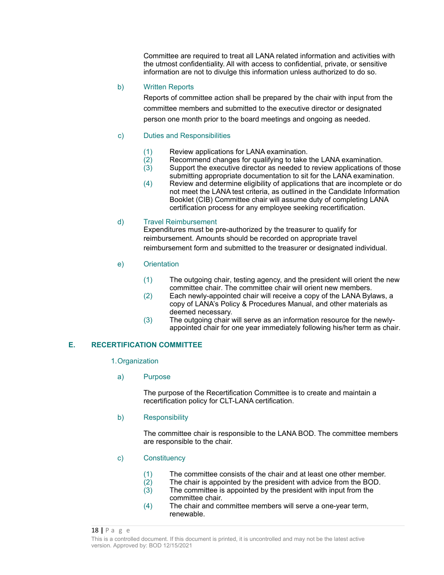Committee are required to treat all LANA related information and activities with the utmost confidentiality. All with access to confidential, private, or sensitive information are not to divulge this information unless authorized to do so.

### b) Written Reports

Reports of committee action shall be prepared by the chair with input from the committee members and submitted to the executive director or designated person one month prior to the board meetings and ongoing as needed.

### c) Duties and Responsibilities

- 
- (1) Review applications for LANA examination.<br>(2) Recommend changes for qualifying to take  $\overline{2}$  Recommend changes for qualifying to take the LANA examination.<br>(3) Support the executive director as needed to review applications of t
- Support the executive director as needed to review applications of those submitting appropriate documentation to sit for the LANA examination.
- (4) Review and determine eligibility of applications that are incomplete or do not meet the LANA test criteria, as outlined in the Candidate Information Booklet (CIB) Committee chair will assume duty of completing LANA certification process for any employee seeking recertification.

### d) Travel Reimbursement

Expenditures must be pre-authorized by the treasurer to qualify for reimbursement. Amounts should be recorded on appropriate travel reimbursement form and submitted to the treasurer or designated individual.

- e) Orientation
	- (1) The outgoing chair, testing agency, and the president will orient the new committee chair. The committee chair will orient new members.
	- (2) Each newly-appointed chair will receive a copy of the LANA Bylaws, a copy of LANA's Policy & Procedures Manual, and other materials as deemed necessary.
	- (3) The outgoing chair will serve as an information resource for the newlyappointed chair for one year immediately following his/her term as chair.

### **E. RECERTIFICATION COMMITTEE**

#### 1.Organization

a) Purpose

The purpose of the Recertification Committee is to create and maintain a recertification policy for CLT-LANA certification.

b) Responsibility

The committee chair is responsible to the LANA BOD. The committee members are responsible to the chair.

- c) Constituency
	- (1) The committee consists of the chair and at least one other member.
	- (2) The chair is appointed by the president with advice from the BOD.
	- (3) The committee is appointed by the president with input from the committee chair.
	- (4) The chair and committee members will serve a one-year term, renewable.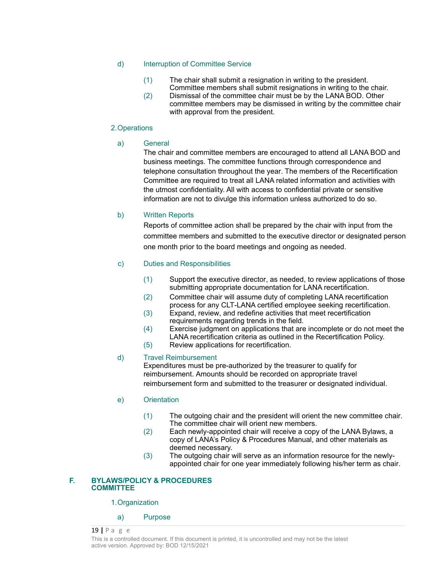### d) Interruption of Committee Service

- (1) The chair shall submit a resignation in writing to the president. Committee members shall submit resignations in writing to the chair.
- (2) Dismissal of the committee chair must be by the LANA BOD. Other committee members may be dismissed in writing by the committee chair with approval from the president.

### 2.Operations

a) General

The chair and committee members are encouraged to attend all LANA BOD and business meetings. The committee functions through correspondence and telephone consultation throughout the year. The members of the Recertification Committee are required to treat all LANA related information and activities with the utmost confidentiality. All with access to confidential private or sensitive information are not to divulge this information unless authorized to do so.

### b) Written Reports

Reports of committee action shall be prepared by the chair with input from the committee members and submitted to the executive director or designated person one month prior to the board meetings and ongoing as needed.

### c) Duties and Responsibilities

- (1) Support the executive director, as needed, to review applications of those submitting appropriate documentation for LANA recertification.
- (2) Committee chair will assume duty of completing LANA recertification process for any CLT-LANA certified employee seeking recertification.
- (3) Expand, review, and redefine activities that meet recertification requirements regarding trends in the field.
- (4) Exercise judgment on applications that are incomplete or do not meet the LANA recertification criteria as outlined in the Recertification Policy.
- (5) Review applications for recertification.

### d) Travel Reimbursement

Expenditures must be pre-authorized by the treasurer to qualify for reimbursement. Amounts should be recorded on appropriate travel reimbursement form and submitted to the treasurer or designated individual.

### e) Orientation

- (1) The outgoing chair and the president will orient the new committee chair. The committee chair will orient new members.
- (2) Each newly-appointed chair will receive a copy of the LANA Bylaws, a copy of LANA's Policy & Procedures Manual, and other materials as deemed necessary.
- (3) The outgoing chair will serve as an information resource for the newlyappointed chair for one year immediately following his/her term as chair.

### **F. BYLAWS/POLICY & PROCEDURES COMMITTEE**

1.Organization

a) Purpose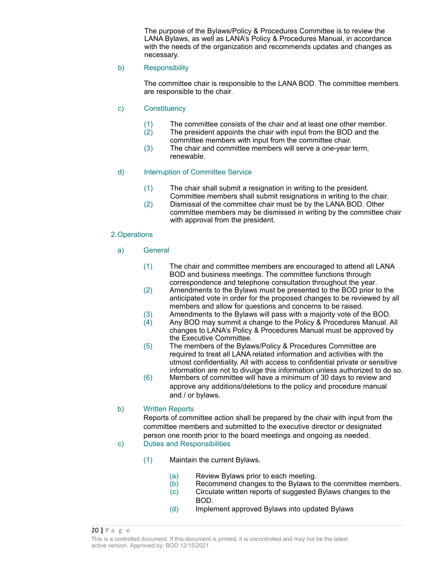The purpose of the Bylaws/Policy & Procedures Committee is to review the LANA Bylaws, as well as LANA's Policy & Procedures Manual, in accordance with the needs of the organization and recommends updates and changes as necessary.

### b) Responsibility

The committee chair is responsible to the LANA BOD. The committee members are responsible to the chair.

- c) Constituency
	- (1) The committee consists of the chair and at least one other member.
	- (2) The president appoints the chair with input from the BOD and the committee members with input from the committee chair.
	- (3) The chair and committee members will serve a one-year term, renewable.

### d) Interruption of Committee Service

- (1) The chair shall submit a resignation in writing to the president. Committee members shall submit resignations in writing to the chair.
- (2) Dismissal of the committee chair must be by the LANA BOD. Other committee members may be dismissed in writing by the committee chair with approval from the president.

#### 2.Operations

- a) General
	- (1) The chair and committee members are encouraged to attend all LANA BOD and business meetings. The committee functions through correspondence and telephone consultation throughout the year.
	- (2) Amendments to the Bylaws must be presented to the BOD prior to the anticipated vote in order for the proposed changes to be reviewed by all members and allow for questions and concerns to be raised.
	- (3) Amendments to the Bylaws will pass with a majority vote of the BOD.
	- $\hat{A}$  Any BOD may summit a change to the Policy & Procedures Manual. All changes to LANA's Policy & Procedures Manual must be approved by the Executive Committee.
	- (5) The members of the Bylaws/Policy & Procedures Committee are required to treat all LANA related information and activities with the utmost confidentiality. All with access to confidential private or sensitive information are not to divulge this information unless authorized to do so.
	- (6) Members of committee will have a minimum of 30 days to review and approve any additions/deletions to the policy and procedure manual and / or bylaws.

#### b) Written Reports

Reports of committee action shall be prepared by the chair with input from the committee members and submitted to the executive director or designated person one month prior to the board meetings and ongoing as needed.

- c) Duties and Responsibilities
	- (1) Maintain the current Bylaws.
		- (a) Review Bylaws prior to each meeting.<br>(b) Recommend changes to the Bylaws to
		- Recommend changes to the Bylaws to the committee members.
		- (c) Circulate written reports of suggested Bylaws changes to the BOD.
		- (d) Implement approved Bylaws into updated Bylaws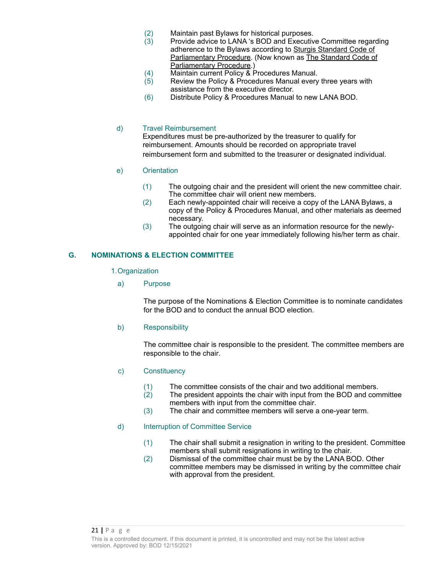- (2) Maintain past Bylaws for historical purposes.
- $(3)$  Provide advice to LANA 's BOD and Executive Committee regarding adherence to the Bylaws according to Sturgis Standard Code of Parliamentary Procedure. (Now known as The Standard Code of Parliamentary Procedure.)
- (4) Maintain current Policy & Procedures Manual.
- $(5)$  Review the Policy & Procedures Manual every three years with assistance from the executive director.
- (6) Distribute Policy & Procedures Manual to new LANA BOD.

#### d) Travel Reimbursement

Expenditures must be pre-authorized by the treasurer to qualify for reimbursement. Amounts should be recorded on appropriate travel reimbursement form and submitted to the treasurer or designated individual.

- e) Orientation
	- (1) The outgoing chair and the president will orient the new committee chair. The committee chair will orient new members.
	- (2) Each newly-appointed chair will receive a copy of the LANA Bylaws, a copy of the Policy & Procedures Manual, and other materials as deemed necessary.
	- (3) The outgoing chair will serve as an information resource for the newlyappointed chair for one year immediately following his/her term as chair.

#### **G. NOMINATIONS & ELECTION COMMITTEE**

#### 1.Organization

a) Purpose

The purpose of the Nominations & Election Committee is to nominate candidates for the BOD and to conduct the annual BOD election.

b) Responsibility

The committee chair is responsible to the president. The committee members are responsible to the chair.

- c) Constituency
	-
	- (1) The committee consists of the chair and two additional members.<br>(2) The president appoints the chair with input from the BOD and com The president appoints the chair with input from the BOD and committee members with input from the committee chair.
	- (3) The chair and committee members will serve a one-year term.

#### d) Interruption of Committee Service

- (1) The chair shall submit a resignation in writing to the president. Committee members shall submit resignations in writing to the chair.
- (2) Dismissal of the committee chair must be by the LANA BOD. Other committee members may be dismissed in writing by the committee chair with approval from the president.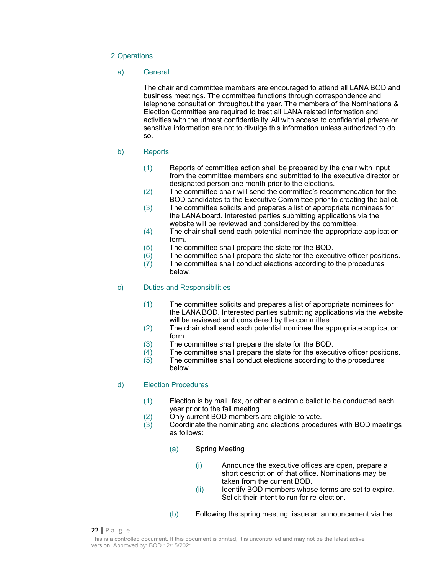### 2.Operations

#### a) General

The chair and committee members are encouraged to attend all LANA BOD and business meetings. The committee functions through correspondence and telephone consultation throughout the year. The members of the Nominations & Election Committee are required to treat all LANA related information and activities with the utmost confidentiality. All with access to confidential private or sensitive information are not to divulge this information unless authorized to do so.

### b) Reports

- (1) Reports of committee action shall be prepared by the chair with input from the committee members and submitted to the executive director or designated person one month prior to the elections.
- (2) The committee chair will send the committee's recommendation for the BOD candidates to the Executive Committee prior to creating the ballot.
- (3) The committee solicits and prepares a list of appropriate nominees for the LANA board. Interested parties submitting applications via the website will be reviewed and considered by the committee.
- (4) The chair shall send each potential nominee the appropriate application form.
- (5) The committee shall prepare the slate for the BOD.
- $(6)$  The committee shall prepare the slate for the executive officer positions.
- $(7)$  The committee shall conduct elections according to the procedures below.

### c) Duties and Responsibilities

- (1) The committee solicits and prepares a list of appropriate nominees for the LANA BOD. Interested parties submitting applications via the website will be reviewed and considered by the committee.
- (2) The chair shall send each potential nominee the appropriate application form.
- (3) The committee shall prepare the slate for the BOD.<br>(4) The committee shall prepare the slate for the execu
- The committee shall prepare the slate for the executive officer positions.
- (5) The committee shall conduct elections according to the procedures below.

### d) Election Procedures

- (1) Election is by mail, fax, or other electronic ballot to be conducted each year prior to the fall meeting.
- (2) Only current BOD members are eligible to vote.
- $(3)$  Coordinate the nominating and elections procedures with BOD meetings as follows:
	- (a) Spring Meeting
		- (i) Announce the executive offices are open, prepare a short description of that office. Nominations may be taken from the current BOD.
		- (ii) Identify BOD members whose terms are set to expire. Solicit their intent to run for re-election.
	- (b) Following the spring meeting, issue an announcement via the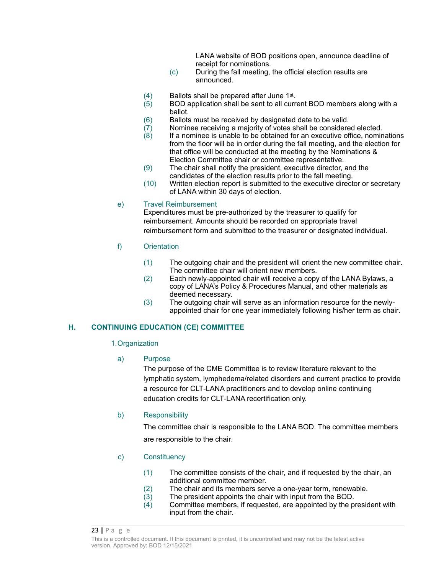LANA website of BOD positions open, announce deadline of receipt for nominations.

- (c) During the fall meeting, the official election results are announced.
- $(4)$  Ballots shall be prepared after June 1st.<br> $(5)$  BOD application shall be sent to all curre
- BOD application shall be sent to all current BOD members along with a ballot.
- (6) Ballots must be received by designated date to be valid.
- $(7)$  Nominee receiving a majority of votes shall be considered elected.
- (8) If a nominee is unable to be obtained for an executive office, nominations from the floor will be in order during the fall meeting, and the election for that office will be conducted at the meeting by the Nominations & Election Committee chair or committee representative.
- (9) The chair shall notify the president, executive director, and the candidates of the election results prior to the fall meeting.
- (10) Written election report is submitted to the executive director or secretary of LANA within 30 days of election.

### e) Travel Reimbursement

Expenditures must be pre-authorized by the treasurer to qualify for reimbursement. Amounts should be recorded on appropriate travel reimbursement form and submitted to the treasurer or designated individual.

- f) Orientation
	- (1) The outgoing chair and the president will orient the new committee chair. The committee chair will orient new members.
	- (2) Each newly-appointed chair will receive a copy of the LANA Bylaws, a copy of LANA's Policy & Procedures Manual, and other materials as deemed necessary.
	- (3) The outgoing chair will serve as an information resource for the newlyappointed chair for one year immediately following his/her term as chair.

### **H. CONTINUING EDUCATION (CE) COMMITTEE**

#### 1.Organization

#### a) Purpose

The purpose of the CME Committee is to review literature relevant to the lymphatic system, lymphedema/related disorders and current practice to provide a resource for CLT-LANA practitioners and to develop online continuing education credits for CLT-LANA recertification only.

### b) Responsibility

The committee chair is responsible to the LANA BOD. The committee members are responsible to the chair.

- c) Constituency
	- (1) The committee consists of the chair, and if requested by the chair, an additional committee member.
	- (2) The chair and its members serve a one-year term, renewable.
	- $(3)$  The president appoints the chair with input from the BOD.<br> $(4)$  Committee members, if requested, are appointed by the p
	- Committee members, if requested, are appointed by the president with input from the chair.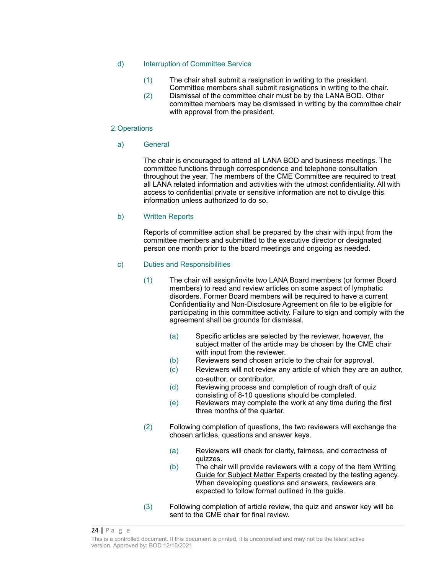#### d) Interruption of Committee Service

- (1) The chair shall submit a resignation in writing to the president.
- Committee members shall submit resignations in writing to the chair. (2) Dismissal of the committee chair must be by the LANA BOD. Other committee members may be dismissed in writing by the committee chair with approval from the president.

#### 2.Operations

#### a) General

The chair is encouraged to attend all LANA BOD and business meetings. The committee functions through correspondence and telephone consultation throughout the year. The members of the CME Committee are required to treat all LANA related information and activities with the utmost confidentiality. All with access to confidential private or sensitive information are not to divulge this information unless authorized to do so.

#### b) Written Reports

Reports of committee action shall be prepared by the chair with input from the committee members and submitted to the executive director or designated person one month prior to the board meetings and ongoing as needed.

#### c) Duties and Responsibilities

- (1) The chair will assign/invite two LANA Board members (or former Board members) to read and review articles on some aspect of lymphatic disorders. Former Board members will be required to have a current Confidentiality and Non-Disclosure Agreement on file to be eligible for participating in this committee activity. Failure to sign and comply with the agreement shall be grounds for dismissal.
	- (a) Specific articles are selected by the reviewer, however, the subject matter of the article may be chosen by the CME chair with input from the reviewer.
	- (b) Reviewers send chosen article to the chair for approval.
	- (c) Reviewers will not review any article of which they are an author, co-author, or contributor.
	- (d) Reviewing process and completion of rough draft of quiz consisting of 8-10 questions should be completed.
	- (e) Reviewers may complete the work at any time during the first three months of the quarter.
- (2) Following completion of questions, the two reviewers will exchange the chosen articles, questions and answer keys.
	- (a) Reviewers will check for clarity, fairness, and correctness of quizzes.
	- $(b)$  The chair will provide reviewers with a copy of the ltem Writing Guide for Subject Matter Experts created by the testing agency. When developing questions and answers, reviewers are expected to follow format outlined in the guide.
- (3) Following completion of article review, the quiz and answer key will be sent to the CME chair for final review.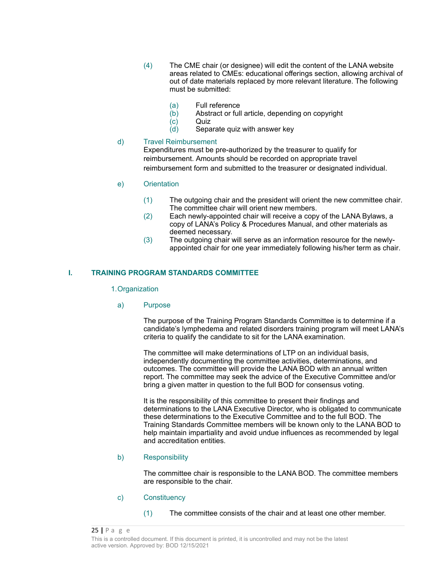- (4) The CME chair (or designee) will edit the content of the LANA website areas related to CMEs: educational offerings section, allowing archival of out of date materials replaced by more relevant literature. The following must be submitted:
	- (a) Full reference
	- (b) Abstract or full article, depending on copyright
	- (c) Quiz
	- (d) Separate quiz with answer key

### d) Travel Reimbursement

Expenditures must be pre-authorized by the treasurer to qualify for reimbursement. Amounts should be recorded on appropriate travel reimbursement form and submitted to the treasurer or designated individual.

### e) Orientation

- (1) The outgoing chair and the president will orient the new committee chair. The committee chair will orient new members.
- (2) Each newly-appointed chair will receive a copy of the LANA Bylaws, a copy of LANA's Policy & Procedures Manual, and other materials as deemed necessary.
- (3) The outgoing chair will serve as an information resource for the newlyappointed chair for one year immediately following his/her term as chair.

### **I. TRAINING PROGRAM STANDARDS COMMITTEE**

#### 1.Organization

#### a) Purpose

The purpose of the Training Program Standards Committee is to determine if a candidate's lymphedema and related disorders training program will meet LANA's criteria to qualify the candidate to sit for the LANA examination.

The committee will make determinations of LTP on an individual basis, independently documenting the committee activities, determinations, and outcomes. The committee will provide the LANA BOD with an annual written report. The committee may seek the advice of the Executive Committee and/or bring a given matter in question to the full BOD for consensus voting.

It is the responsibility of this committee to present their findings and determinations to the LANA Executive Director, who is obligated to communicate these determinations to the Executive Committee and to the full BOD. The Training Standards Committee members will be known only to the LANA BOD to help maintain impartiality and avoid undue influences as recommended by legal and accreditation entities.

#### b) Responsibility

The committee chair is responsible to the LANA BOD. The committee members are responsible to the chair.

### c) Constituency

(1) The committee consists of the chair and at least one other member.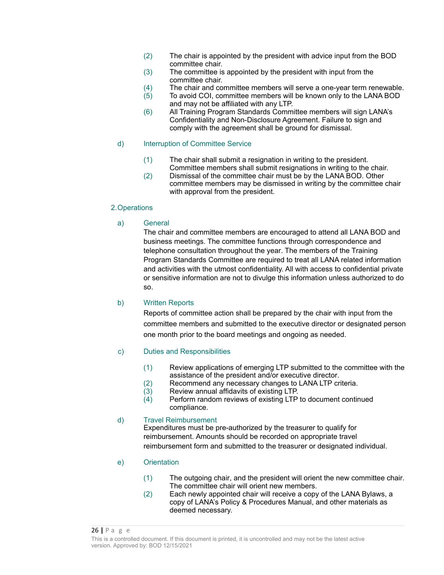- (2) The chair is appointed by the president with advice input from the BOD committee chair.
- (3) The committee is appointed by the president with input from the committee chair.
- (4) The chair and committee members will serve a one-year term renewable.
- $(5)$  To avoid COI, committee members will be known only to the LANA BOD and may not be affiliated with any LTP.
- (6) All Training Program Standards Committee members will sign LANA's Confidentiality and Non-Disclosure Agreement. Failure to sign and comply with the agreement shall be ground for dismissal.

### d) Interruption of Committee Service

- (1) The chair shall submit a resignation in writing to the president. Committee members shall submit resignations in writing to the chair.
- (2) Dismissal of the committee chair must be by the LANA BOD. Other committee members may be dismissed in writing by the committee chair with approval from the president.

### 2.Operations

### a) General

The chair and committee members are encouraged to attend all LANA BOD and business meetings. The committee functions through correspondence and telephone consultation throughout the year. The members of the Training Program Standards Committee are required to treat all LANA related information and activities with the utmost confidentiality. All with access to confidential private or sensitive information are not to divulge this information unless authorized to do so.

#### b) Written Reports

Reports of committee action shall be prepared by the chair with input from the committee members and submitted to the executive director or designated person one month prior to the board meetings and ongoing as needed.

### c) Duties and Responsibilities

- (1) Review applications of emerging LTP submitted to the committee with the assistance of the president and/or executive director.
- (2) Recommend any necessary changes to LANA LTP criteria.<br>(3) Review annual affidavits of existing LTP.
- $(3)$  Review annual affidavits of existing LTP.<br> $(4)$  Perform random reviews of existing LTP
- Perform random reviews of existing LTP to document continued compliance.

#### d) Travel Reimbursement

Expenditures must be pre-authorized by the treasurer to qualify for reimbursement. Amounts should be recorded on appropriate travel reimbursement form and submitted to the treasurer or designated individual.

- e) Orientation
	- (1) The outgoing chair, and the president will orient the new committee chair. The committee chair will orient new members.
	- (2) Each newly appointed chair will receive a copy of the LANA Bylaws, a copy of LANA's Policy & Procedures Manual, and other materials as deemed necessary.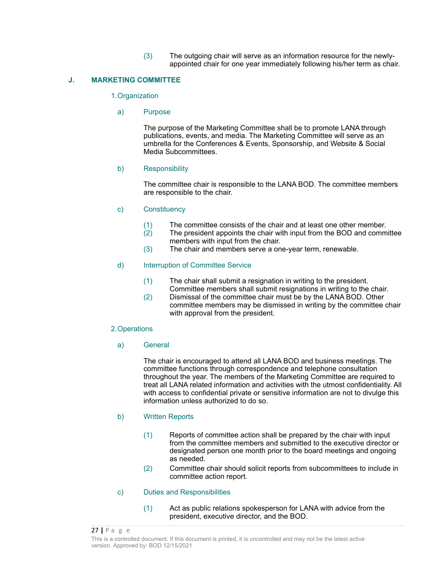(3) The outgoing chair will serve as an information resource for the newlyappointed chair for one year immediately following his/her term as chair.

### **J. MARKETING COMMITTEE**

#### 1.Organization

#### a) Purpose

The purpose of the Marketing Committee shall be to promote LANA through publications, events, and media. The Marketing Committee will serve as an umbrella for the Conferences & Events, Sponsorship, and Website & Social Media Subcommittees.

#### b) Responsibility

The committee chair is responsible to the LANA BOD. The committee members are responsible to the chair.

#### c) Constituency

- (1) The committee consists of the chair and at least one other member.
- (2) The president appoints the chair with input from the BOD and committee members with input from the chair.
- (3) The chair and members serve a one-year term, renewable.

#### d) Interruption of Committee Service

- (1) The chair shall submit a resignation in writing to the president. Committee members shall submit resignations in writing to the chair.
- (2) Dismissal of the committee chair must be by the LANA BOD. Other committee members may be dismissed in writing by the committee chair with approval from the president.

#### 2.Operations

a) General

The chair is encouraged to attend all LANA BOD and business meetings. The committee functions through correspondence and telephone consultation throughout the year. The members of the Marketing Committee are required to treat all LANA related information and activities with the utmost confidentiality. All with access to confidential private or sensitive information are not to divulge this information unless authorized to do so.

#### b) Written Reports

- (1) Reports of committee action shall be prepared by the chair with input from the committee members and submitted to the executive director or designated person one month prior to the board meetings and ongoing as needed.
- (2) Committee chair should solicit reports from subcommittees to include in committee action report.

#### c) Duties and Responsibilities

(1) Act as public relations spokesperson for LANA with advice from the president, executive director, and the BOD.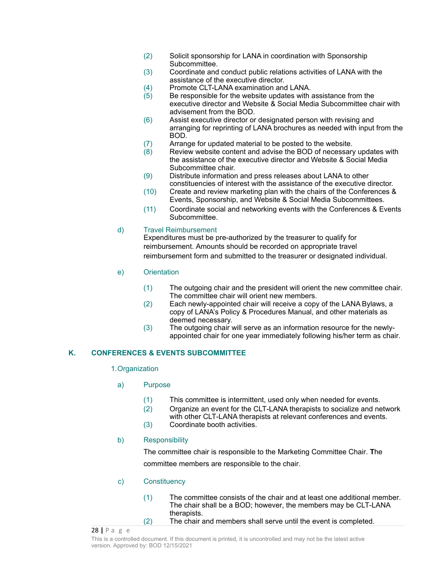- (2) Solicit sponsorship for LANA in coordination with Sponsorship Subcommittee.
- (3) Coordinate and conduct public relations activities of LANA with the assistance of the executive director.
- (4) Promote CLT-LANA examination and LANA.
- $(5)$  Be responsible for the website updates with assistance from the executive director and Website & Social Media Subcommittee chair with advisement from the BOD.
- (6) Assist executive director or designated person with revising and arranging for reprinting of LANA brochures as needed with input from the BOD.
- (7) Arrange for updated material to be posted to the website.<br>(8) Review website content and advise the BOD of necessary
- Review website content and advise the BOD of necessary updates with the assistance of the executive director and Website & Social Media Subcommittee chair.
- (9) Distribute information and press releases about LANA to other constituencies of interest with the assistance of the executive director.
- (10) Create and review marketing plan with the chairs of the Conferences & Events, Sponsorship, and Website & Social Media Subcommittees.
- (11) Coordinate social and networking events with the Conferences & Events Subcommittee.

### d) Travel Reimbursement

Expenditures must be pre-authorized by the treasurer to qualify for reimbursement. Amounts should be recorded on appropriate travel reimbursement form and submitted to the treasurer or designated individual.

- e) Orientation
	- (1) The outgoing chair and the president will orient the new committee chair. The committee chair will orient new members.
	- (2) Each newly-appointed chair will receive a copy of the LANA Bylaws, a copy of LANA's Policy & Procedures Manual, and other materials as deemed necessary.
	- (3) The outgoing chair will serve as an information resource for the newlyappointed chair for one year immediately following his/her term as chair.

### **K. CONFERENCES & EVENTS SUBCOMMITTEE**

### 1.Organization

- a) Purpose
	- (1) This committee is intermittent, used only when needed for events.
	- (2) Organize an event for the CLT-LANA therapists to socialize and network with other CLT-LANA therapists at relevant conferences and events.
	- (3) Coordinate booth activities.

### b) Responsibility

The committee chair is responsible to the Marketing Committee Chair. **T**he committee members are responsible to the chair.

### c) Constituency

| (1) | The committee consists of the chair and at least one additional member. |
|-----|-------------------------------------------------------------------------|
|     | The chair shall be a BOD; however, the members may be CLT-LANA          |
|     | therapists.                                                             |
| (2) | The chair and members shall serve until the event is completed.         |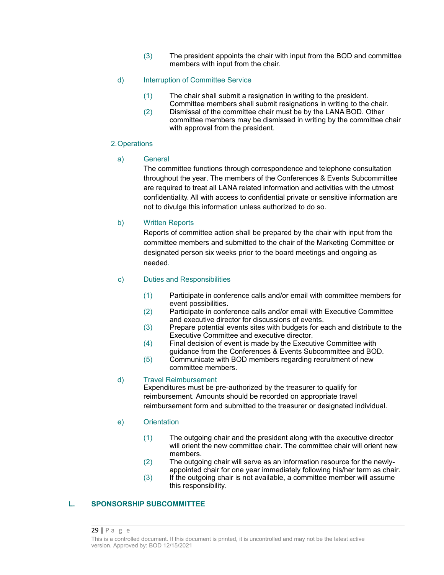(3) The president appoints the chair with input from the BOD and committee members with input from the chair.

### d) Interruption of Committee Service

- (1) The chair shall submit a resignation in writing to the president. Committee members shall submit resignations in writing to the chair.
- (2) Dismissal of the committee chair must be by the LANA BOD. Other committee members may be dismissed in writing by the committee chair with approval from the president.

#### 2.Operations

#### a) General

The committee functions through correspondence and telephone consultation throughout the year. The members of the Conferences & Events Subcommittee are required to treat all LANA related information and activities with the utmost confidentiality. All with access to confidential private or sensitive information are not to divulge this information unless authorized to do so.

#### b) Written Reports

Reports of committee action shall be prepared by the chair with input from the committee members and submitted to the chair of the Marketing Committee or designated person six weeks prior to the board meetings and ongoing as needed.

### c) Duties and Responsibilities

- (1) Participate in conference calls and/or email with committee members for event possibilities.
- (2) Participate in conference calls and/or email with Executive Committee and executive director for discussions of events.
- (3) Prepare potential events sites with budgets for each and distribute to the Executive Committee and executive director.
- (4) Final decision of event is made by the Executive Committee with guidance from the Conferences & Events Subcommittee and BOD.
- (5) Communicate with BOD members regarding recruitment of new committee members.

#### d) Travel Reimbursement

Expenditures must be pre-authorized by the treasurer to qualify for reimbursement. Amounts should be recorded on appropriate travel reimbursement form and submitted to the treasurer or designated individual.

#### e) Orientation

- (1) The outgoing chair and the president along with the executive director will orient the new committee chair. The committee chair will orient new members.
- (2) The outgoing chair will serve as an information resource for the newlyappointed chair for one year immediately following his/her term as chair.
- (3) If the outgoing chair is not available, a committee member will assume this responsibility.

### **L. SPONSORSHIP SUBCOMMITTEE**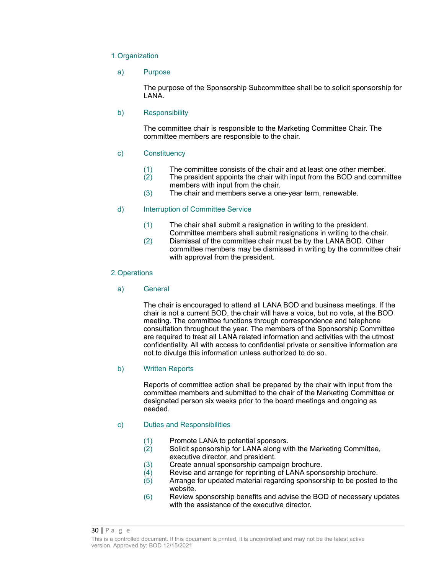#### 1.Organization

#### a) Purpose

The purpose of the Sponsorship Subcommittee shall be to solicit sponsorship for LANA.

### b) Responsibility

The committee chair is responsible to the Marketing Committee Chair. The committee members are responsible to the chair.

### c) Constituency

- (1) The committee consists of the chair and at least one other member.
- (2) The president appoints the chair with input from the BOD and committee members with input from the chair.
- (3) The chair and members serve a one-year term, renewable.

### d) Interruption of Committee Service

- (1) The chair shall submit a resignation in writing to the president. Committee members shall submit resignations in writing to the chair.
- (2) Dismissal of the committee chair must be by the LANA BOD. Other committee members may be dismissed in writing by the committee chair with approval from the president.

#### 2.Operations

### a) General

The chair is encouraged to attend all LANA BOD and business meetings. If the chair is not a current BOD, the chair will have a voice, but no vote, at the BOD meeting. The committee functions through correspondence and telephone consultation throughout the year. The members of the Sponsorship Committee are required to treat all LANA related information and activities with the utmost confidentiality. All with access to confidential private or sensitive information are not to divulge this information unless authorized to do so.

#### b) Written Reports

Reports of committee action shall be prepared by the chair with input from the committee members and submitted to the chair of the Marketing Committee or designated person six weeks prior to the board meetings and ongoing as needed.

#### c) Duties and Responsibilities

- (1) Promote LANA to potential sponsors.
- (2) Solicit sponsorship for LANA along with the Marketing Committee, executive director, and president.
- (3) Create annual sponsorship campaign brochure.
- (4) Revise and arrange for reprinting of LANA sponsorship brochure.
- (5) Arrange for updated material regarding sponsorship to be posted to the website.
- (6) Review sponsorship benefits and advise the BOD of necessary updates with the assistance of the executive director.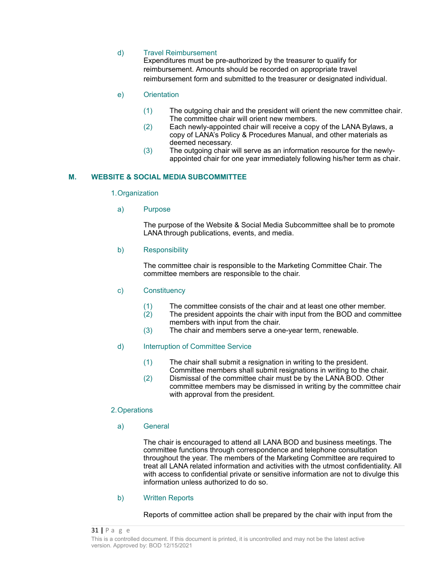### d) Travel Reimbursement

Expenditures must be pre-authorized by the treasurer to qualify for reimbursement. Amounts should be recorded on appropriate travel reimbursement form and submitted to the treasurer or designated individual.

#### e) Orientation

- (1) The outgoing chair and the president will orient the new committee chair. The committee chair will orient new members.
- (2) Each newly-appointed chair will receive a copy of the LANA Bylaws, a copy of LANA's Policy & Procedures Manual, and other materials as deemed necessary.
- (3) The outgoing chair will serve as an information resource for the newlyappointed chair for one year immediately following his/her term as chair.

### **M. WEBSITE & SOCIAL MEDIA SUBCOMMITTEE**

#### 1.Organization

a) Purpose

The purpose of the Website & Social Media Subcommittee shall be to promote LANA through publications, events, and media.

#### b) Responsibility

The committee chair is responsible to the Marketing Committee Chair. The committee members are responsible to the chair.

#### c) Constituency

- (1) The committee consists of the chair and at least one other member.
- (2) The president appoints the chair with input from the BOD and committee members with input from the chair.
- (3) The chair and members serve a one-year term, renewable.

#### d) Interruption of Committee Service

- (1) The chair shall submit a resignation in writing to the president. Committee members shall submit resignations in writing to the chair.
- (2) Dismissal of the committee chair must be by the LANA BOD. Other committee members may be dismissed in writing by the committee chair with approval from the president.

#### 2.Operations

#### a) General

The chair is encouraged to attend all LANA BOD and business meetings. The committee functions through correspondence and telephone consultation throughout the year. The members of the Marketing Committee are required to treat all LANA related information and activities with the utmost confidentiality. All with access to confidential private or sensitive information are not to divulge this information unless authorized to do so.

#### b) Written Reports

Reports of committee action shall be prepared by the chair with input from the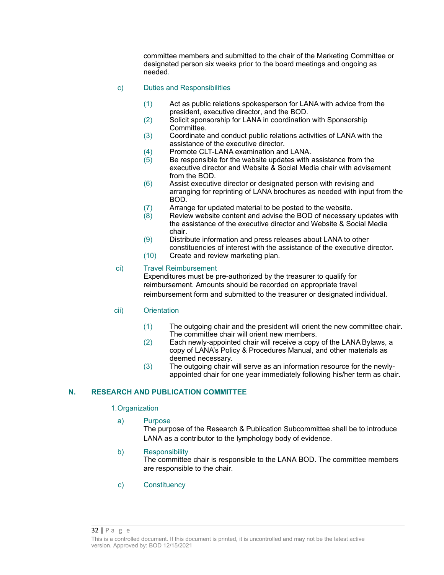committee members and submitted to the chair of the Marketing Committee or designated person six weeks prior to the board meetings and ongoing as needed.

### c) Duties and Responsibilities

- (1) Act as public relations spokesperson for LANA with advice from the president, executive director, and the BOD.
- (2) Solicit sponsorship for LANA in coordination with Sponsorship Committee.
- (3) Coordinate and conduct public relations activities of LANA with the assistance of the executive director.
- (4) Promote CLT-LANA examination and LANA.<br>(5) Be responsible for the website updates with
- Be responsible for the website updates with assistance from the executive director and Website & Social Media chair with advisement from the BOD.
- (6) Assist executive director or designated person with revising and arranging for reprinting of LANA brochures as needed with input from the BOD.
- (7) Arrange for updated material to be posted to the website.
- $(8)$  Review website content and advise the BOD of necessary updates with the assistance of the executive director and Website & Social Media chair.
- (9) Distribute information and press releases about LANA to other constituencies of interest with the assistance of the executive director.
- (10) Create and review marketing plan.

### ci) Travel Reimbursement

Expenditures must be pre-authorized by the treasurer to qualify for reimbursement. Amounts should be recorded on appropriate travel reimbursement form and submitted to the treasurer or designated individual.

### cii) Orientation

- (1) The outgoing chair and the president will orient the new committee chair. The committee chair will orient new members.
- (2) Each newly-appointed chair will receive a copy of the LANA Bylaws, a copy of LANA's Policy & Procedures Manual, and other materials as deemed necessary.
- (3) The outgoing chair will serve as an information resource for the newlyappointed chair for one year immediately following his/her term as chair.

### **N. RESEARCH AND PUBLICATION COMMITTEE**

#### 1.Organization

### a) Purpose

The purpose of the Research & Publication Subcommittee shall be to introduce LANA as a contributor to the lymphology body of evidence.

#### b) Responsibility

The committee chair is responsible to the LANA BOD. The committee members are responsible to the chair.

c) Constituency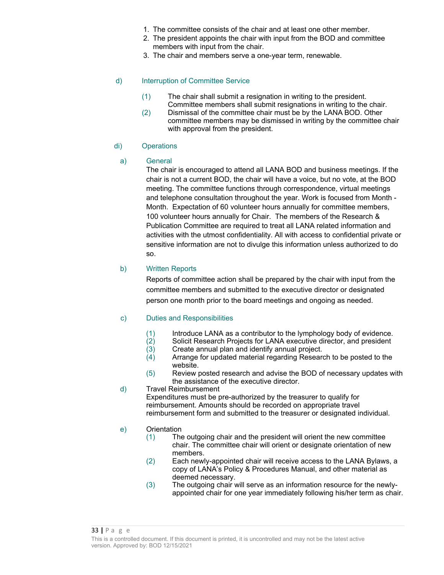- 1. The committee consists of the chair and at least one other member.
- 2. The president appoints the chair with input from the BOD and committee members with input from the chair.
- 3. The chair and members serve a one-year term, renewable.

### d) Interruption of Committee Service

- (1) The chair shall submit a resignation in writing to the president. Committee members shall submit resignations in writing to the chair.
- (2) Dismissal of the committee chair must be by the LANA BOD. Other committee members may be dismissed in writing by the committee chair with approval from the president.

### di) Operations

### a) General

The chair is encouraged to attend all LANA BOD and business meetings. If the chair is not a current BOD, the chair will have a voice, but no vote, at the BOD meeting. The committee functions through correspondence, virtual meetings and telephone consultation throughout the year. Work is focused from Month - Month. Expectation of 60 volunteer hours annually for committee members, 100 volunteer hours annually for Chair. The members of the Research & Publication Committee are required to treat all LANA related information and activities with the utmost confidentiality. All with access to confidential private or sensitive information are not to divulge this information unless authorized to do so.

### b) Written Reports

Reports of committee action shall be prepared by the chair with input from the committee members and submitted to the executive director or designated person one month prior to the board meetings and ongoing as needed.

#### c) Duties and Responsibilities

- $(1)$  Introduce LANA as a contributor to the lymphology body of evidence.<br> $(2)$  Solicit Research Projects for LANA executive director, and president
- (2) Solicit Research Projects for LANA executive director, and president (3) Create annual plan and identify annual project.
- (3) Create annual plan and identify annual project.
- Arrange for updated material regarding Research to be posted to the website.
- (5) Review posted research and advise the BOD of necessary updates with the assistance of the executive director.
- d) Travel Reimbursement

Expenditures must be pre-authorized by the treasurer to qualify for reimbursement. Amounts should be recorded on appropriate travel reimbursement form and submitted to the treasurer or designated individual.

### e) Orientation

- (1) The outgoing chair and the president will orient the new committee chair. The committee chair will orient or designate orientation of new members.
- (2) Each newly-appointed chair will receive access to the LANA Bylaws, a copy of LANA's Policy & Procedures Manual, and other material as deemed necessary.
- (3) The outgoing chair will serve as an information resource for the newlyappointed chair for one year immediately following his/her term as chair.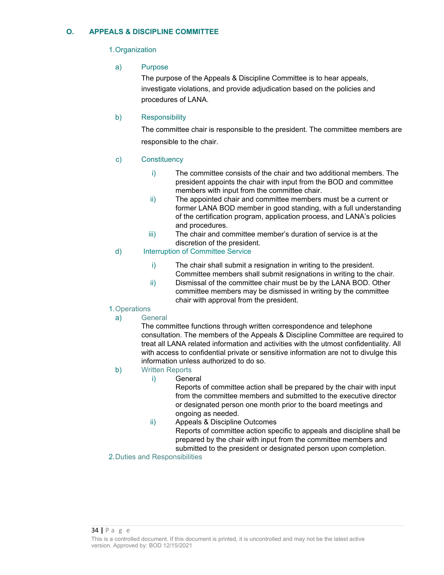### **O. APPEALS & DISCIPLINE COMMITTEE**

### 1.Organization

a) Purpose

The purpose of the Appeals & Discipline Committee is to hear appeals, investigate violations, and provide adjudication based on the policies and procedures of LANA.

### b) Responsibility

The committee chair is responsible to the president. The committee members are responsible to the chair.

### c) Constituency

- i) The committee consists of the chair and two additional members. The president appoints the chair with input from the BOD and committee members with input from the committee chair.
- ii) The appointed chair and committee members must be a current or former LANA BOD member in good standing, with a full understanding of the certification program, application process, and LANA's policies and procedures.
- iii) The chair and committee member's duration of service is at the discretion of the president.

### d) Interruption of Committee Service

- i) The chair shall submit a resignation in writing to the president. Committee members shall submit resignations in writing to the chair.
- ii) Dismissal of the committee chair must be by the LANA BOD. Other committee members may be dismissed in writing by the committee chair with approval from the president.

### 1.Operations

a) General

The committee functions through written correspondence and telephone consultation. The members of the Appeals & Discipline Committee are required to treat all LANA related information and activities with the utmost confidentiality. All with access to confidential private or sensitive information are not to divulge this information unless authorized to do so.

### b) Written Reports

i) General

Reports of committee action shall be prepared by the chair with input from the committee members and submitted to the executive director or designated person one month prior to the board meetings and ongoing as needed.

ii) Appeals & Discipline Outcomes

Reports of committee action specific to appeals and discipline shall be prepared by the chair with input from the committee members and submitted to the president or designated person upon completion.

### 2.Duties and Responsibilities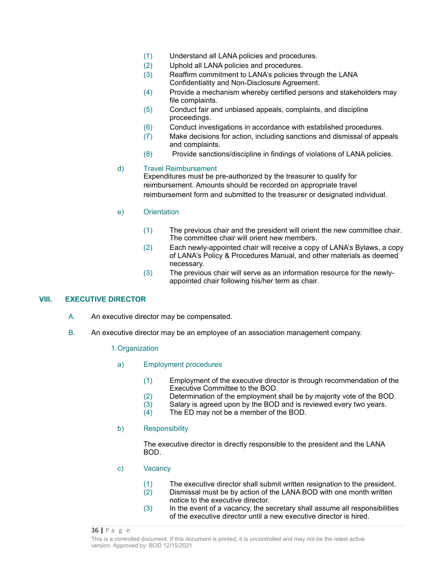- (1) Understand all LANA policies and procedures.
- (2) Uphold all LANA policies and procedures.
- (3) Reaffirm commitment to LANA's policies through the LANA Confidentiality and Non-Disclosure Agreement.
- (4) Provide a mechanism whereby certified persons and stakeholders may file complaints.
- (5) Conduct fair and unbiased appeals, complaints, and discipline proceedings.
- (6) Conduct investigations in accordance with established procedures.
- (7) Make decisions for action, including sanctions and dismissal of appeals and complaints.
- (8) Provide sanctions/discipline in findings of violations of LANA policies.

### d) Travel Reimbursement

Expenditures must be pre-authorized by the treasurer to qualify for reimbursement. Amounts should be recorded on appropriate travel reimbursement form and submitted to the treasurer or designated individual.

### e) Orientation

- (1) The previous chair and the president will orient the new committee chair. The committee chair will orient new members.
- (2) Each newly-appointed chair will receive a copy of LANA's Bylaws, a copy of LANA's Policy & Procedures Manual, and other materials as deemed necessary.
- (3) The previous chair will serve as an information resource for the newlyappointed chair following his/her term as chair.

### **VIII. EXECUTIVE DIRECTOR**

- A. An executive director may be compensated.
- B. An executive director may be an employee of an association management company.

#### 1.Organization

- a) Employment procedures
	- (1) Employment of the executive director is through recommendation of the Executive Committee to the BOD.
	- (2) Determination of the employment shall be by majority vote of the BOD.<br>(3) Salary is agreed upon by the BOD and is reviewed every two years.
	- Salary is agreed upon by the BOD and is reviewed every two years.
	- (4) The ED may not be a member of the BOD.

#### b) Responsibility

The executive director is directly responsible to the president and the LANA BOD.

c) Vacancy

| (1) | The executive director shall submit written resignation to the president.  |
|-----|----------------------------------------------------------------------------|
| (2) | Dismissal must be by action of the LANA BOD with one month written         |
|     | notice to the executive director.                                          |
| (3) | In the event of a vacancy, the secretary shall assume all responsibilities |
|     | of the executive director until a new executive director is hired.         |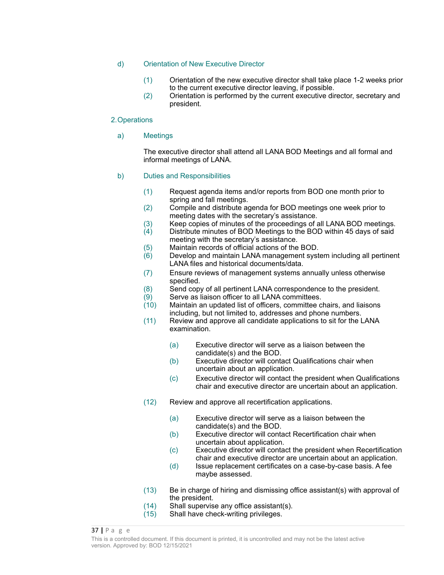### d) Orientation of New Executive Director

- (1) Orientation of the new executive director shall take place 1-2 weeks prior to the current executive director leaving, if possible.
- (2) Orientation is performed by the current executive director, secretary and president.

#### 2.Operations

a) Meetings

The executive director shall attend all LANA BOD Meetings and all formal and informal meetings of LANA.

### b) Duties and Responsibilities

- (1) Request agenda items and/or reports from BOD one month prior to spring and fall meetings.
- (2) Compile and distribute agenda for BOD meetings one week prior to meeting dates with the secretary's assistance.
- (3) Keep copies of minutes of the proceedings of all LANA BOD meetings.
- (4) Distribute minutes of BOD Meetings to the BOD within 45 days of said meeting with the secretary's assistance.
- (5) Maintain records of official actions of the BOD.
- (6) Develop and maintain LANA management system including all pertinent LANA files and historical documents/data.
- (7) Ensure reviews of management systems annually unless otherwise specified.
- (8) Send copy of all pertinent LANA correspondence to the president.
- (9) Serve as liaison officer to all LANA committees.
- (10) Maintain an updated list of officers, committee chairs, and liaisons including, but not limited to, addresses and phone numbers.
- (11) Review and approve all candidate applications to sit for the LANA examination.
	- (a) Executive director will serve as a liaison between the candidate(s) and the BOD.
	- (b) Executive director will contact Qualifications chair when uncertain about an application.
	- (c) Executive director will contact the president when Qualifications chair and executive director are uncertain about an application.
- (12) Review and approve all recertification applications.
	- (a) Executive director will serve as a liaison between the candidate(s) and the BOD.
	- (b) Executive director will contact Recertification chair when uncertain about application.
	- (c) Executive director will contact the president when Recertification chair and executive director are uncertain about an application.
	- (d) Issue replacement certificates on a case-by-case basis. A fee maybe assessed.
- (13) Be in charge of hiring and dismissing office assistant(s) with approval of the president.
- (14) Shall supervise any office assistant(s).
- (15) Shall have check-writing privileges.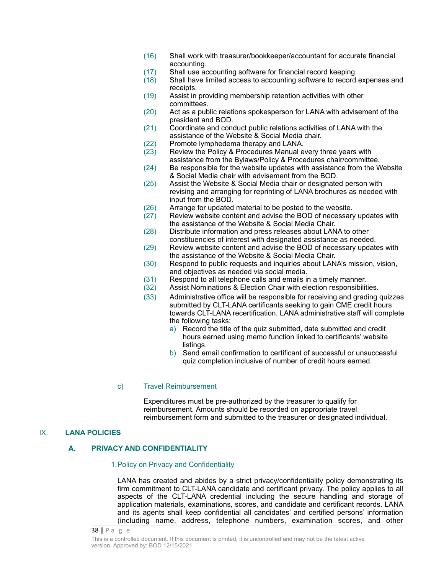- (16) Shall work with treasurer/bookkeeper/accountant for accurate financial accounting.
- (17) Shall use accounting software for financial record keeping.
- $(18)$  Shall have limited access to accounting software to record expenses and receipts.
- (19) Assist in providing membership retention activities with other committees.
- (20) Act as a public relations spokesperson for LANA with advisement of the president and BOD.
- (21) Coordinate and conduct public relations activities of LANA with the assistance of the Website & Social Media chair.
- (22) Promote lymphedema therapy and LANA.<br>(23) Review the Policy & Procedures Manual e
- Review the Policy & Procedures Manual every three years with assistance from the Bylaws/Policy & Procedures chair/committee.
- (24) Be responsible for the website updates with assistance from the Website & Social Media chair with advisement from the BOD.
- (25) Assist the Website & Social Media chair or designated person with revising and arranging for reprinting of LANA brochures as needed with input from the BOD.
- (26) Arrange for updated material to be posted to the website.
- (27) Review website content and advise the BOD of necessary updates with the assistance of the Website & Social Media Chair.
- (28) Distribute information and press releases about LANA to other constituencies of interest with designated assistance as needed.
- (29) Review website content and advise the BOD of necessary updates with the assistance of the Website & Social Media Chair.
- (30) Respond to public requests and inquiries about LANA's mission, vision, and objectives as needed via social media.
- (31) Respond to all telephone calls and emails in a timely manner.
- (32) Assist Nominations & Election Chair with election responsibilities.
- (33) Administrative office will be responsible for receiving and grading quizzes submitted by CLT-LANA certificants seeking to gain CME credit hours towards CLT-LANA recertification. LANA administrative staff will complete the following tasks:
	- a) Record the title of the quiz submitted, date submitted and credit hours earned using memo function linked to certificants' website listings.
	- b) Send email confirmation to certificant of successful or unsuccessful quiz completion inclusive of number of credit hours earned.

#### c) Travel Reimbursement

Expenditures must be pre-authorized by the treasurer to qualify for reimbursement. Amounts should be recorded on appropriate travel reimbursement form and submitted to the treasurer or designated individual.

### IX. **LANA POLICIES**

### **A. PRIVACY AND CONFIDENTIALITY**

#### 1.Policy on Privacy and Confidentiality

LANA has created and abides by a strict privacy/confidentiality policy demonstrating its firm commitment to CLT-LANA candidate and certificant privacy. The policy applies to all aspects of the CLT-LANA credential including the secure handling and storage of application materials, examinations, scores, and candidate and certificant records. LANA and its agents shall keep confidential all candidates' and certified persons' information (including name, address, telephone numbers, examination scores, and other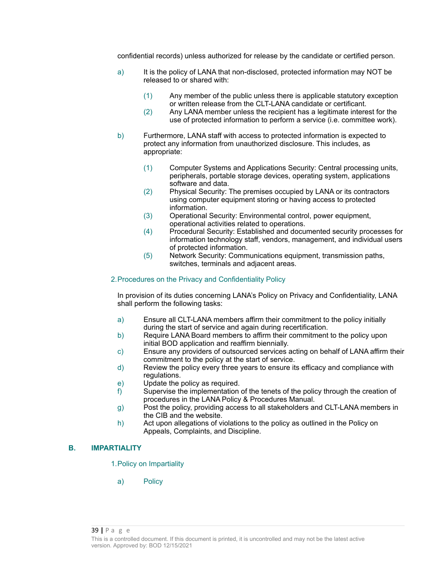confidential records) unless authorized for release by the candidate or certified person.

- a) It is the policy of LANA that non-disclosed, protected information may NOT be released to or shared with:
	- (1) Any member of the public unless there is applicable statutory exception or written release from the CLT-LANA candidate or certificant.
	- (2) Any LANA member unless the recipient has a legitimate interest for the use of protected information to perform a service (i.e. committee work).
- b) Furthermore, LANA staff with access to protected information is expected to protect any information from unauthorized disclosure. This includes, as appropriate:
	- (1) Computer Systems and Applications Security: Central processing units, peripherals, portable storage devices, operating system, applications software and data.
	- (2) Physical Security: The premises occupied by LANA or its contractors using computer equipment storing or having access to protected information.
	- (3) Operational Security: Environmental control, power equipment, operational activities related to operations.
	- (4) Procedural Security: Established and documented security processes for information technology staff, vendors, management, and individual users of protected information.
	- (5) Network Security: Communications equipment, transmission paths, switches, terminals and adjacent areas.

#### 2.Procedures on the Privacy and Confidentiality Policy

In provision of its duties concerning LANA's Policy on Privacy and Confidentiality, LANA shall perform the following tasks:

- a) Ensure all CLT-LANA members affirm their commitment to the policy initially during the start of service and again during recertification.
- b) Require LANA Board members to affirm their commitment to the policy upon initial BOD application and reaffirm biennially.
- c) Ensure any providers of outsourced services acting on behalf of LANA affirm their commitment to the policy at the start of service.
- d) Review the policy every three years to ensure its efficacy and compliance with regulations.
- e) Update the policy as required.
- f) Supervise the implementation of the tenets of the policy through the creation of procedures in the LANA Policy & Procedures Manual.
- g) Post the policy, providing access to all stakeholders and CLT-LANA members in the CIB and the website.
- h) Act upon allegations of violations to the policy as outlined in the Policy on Appeals, Complaints, and Discipline.

### **B. IMPARTIALITY**

1.Policy on Impartiality

a) Policy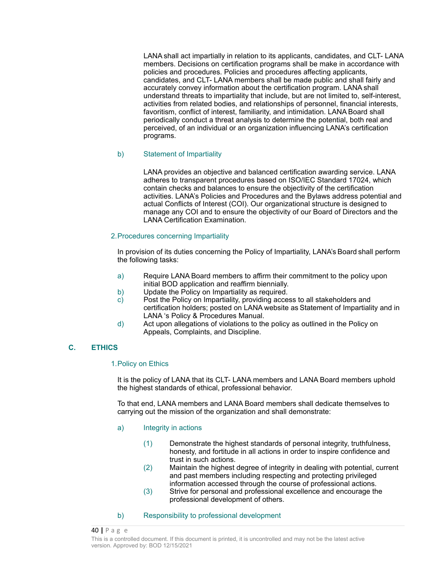LANA shall act impartially in relation to its applicants, candidates, and CLT- LANA members. Decisions on certification programs shall be make in accordance with policies and procedures. Policies and procedures affecting applicants, candidates, and CLT- LANA members shall be made public and shall fairly and accurately convey information about the certification program. LANA shall understand threats to impartiality that include, but are not limited to, self-interest, activities from related bodies, and relationships of personnel, financial interests, favoritism, conflict of interest, familiarity, and intimidation. LANA Board shall periodically conduct a threat analysis to determine the potential, both real and perceived, of an individual or an organization influencing LANA's certification programs.

### b) Statement of Impartiality

LANA provides an objective and balanced certification awarding service. LANA adheres to transparent procedures based on ISO/IEC Standard 17024, which contain checks and balances to ensure the objectivity of the certification activities. LANA's Policies and Procedures and the Bylaws address potential and actual Conflicts of Interest (COI). Our organizational structure is designed to manage any COI and to ensure the objectivity of our Board of Directors and the LANA Certification Examination.

#### 2.Procedures concerning Impartiality

In provision of its duties concerning the Policy of Impartiality, LANA's Board shall perform the following tasks:

- a) Require LANA Board members to affirm their commitment to the policy upon initial BOD application and reaffirm biennially.
- b) Update the Policy on Impartiality as required.
- c) Post the Policy on Impartiality, providing access to all stakeholders and certification holders; posted on LANA website as Statement of Impartiality and in LANA 's Policy & Procedures Manual.
- d) Act upon allegations of violations to the policy as outlined in the Policy on Appeals, Complaints, and Discipline.

### **C. ETHICS**

#### 1.Policy on Ethics

It is the policy of LANA that its CLT- LANA members and LANA Board members uphold the highest standards of ethical, professional behavior.

To that end, LANA members and LANA Board members shall dedicate themselves to carrying out the mission of the organization and shall demonstrate:

- a) Integrity in actions
	- (1) Demonstrate the highest standards of personal integrity, truthfulness, honesty, and fortitude in all actions in order to inspire confidence and trust in such actions.
	- (2) Maintain the highest degree of integrity in dealing with potential, current and past members including respecting and protecting privileged information accessed through the course of professional actions.
	- (3) Strive for personal and professional excellence and encourage the professional development of others.
- b) Responsibility to professional development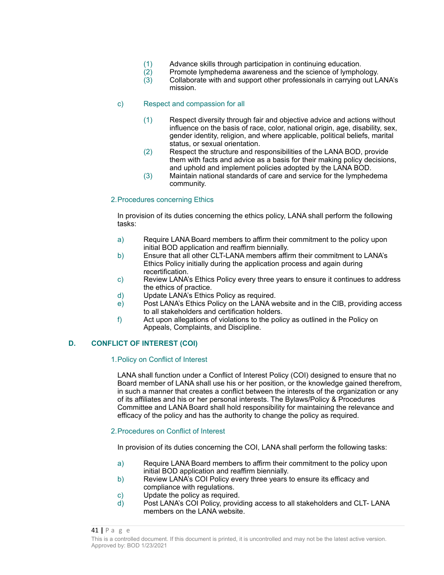- (1) Advance skills through participation in continuing education.
- $(2)$  Promote lymphedema awareness and the science of lymphology.<br>  $(3)$  Collaborate with and support other professionals in carrying out L
- Collaborate with and support other professionals in carrying out LANA's mission.

#### c) Respect and compassion for all

- (1) Respect diversity through fair and objective advice and actions without influence on the basis of race, color, national origin, age, disability, sex, gender identity, religion, and where applicable, political beliefs, marital status, or sexual orientation.
- (2) Respect the structure and responsibilities of the LANA BOD, provide them with facts and advice as a basis for their making policy decisions, and uphold and implement policies adopted by the LANA BOD.
- (3) Maintain national standards of care and service for the lymphedema community.

#### 2.Procedures concerning Ethics

In provision of its duties concerning the ethics policy, LANA shall perform the following tasks:

- a) Require LANA Board members to affirm their commitment to the policy upon initial BOD application and reaffirm biennially.
- b) Ensure that all other CLT-LANA members affirm their commitment to LANA's Ethics Policy initially during the application process and again during recertification.
- c) Review LANA's Ethics Policy every three years to ensure it continues to address the ethics of practice.
- d) Update LANA's Ethics Policy as required.
- e) Post LANA's Ethics Policy on the LANA website and in the CIB, providing access to all stakeholders and certification holders.
- f) Act upon allegations of violations to the policy as outlined in the Policy on Appeals, Complaints, and Discipline.

### **D. CONFLICT OF INTEREST (COI)**

#### 1.Policy on Conflict of Interest

LANA shall function under a Conflict of Interest Policy (COI) designed to ensure that no Board member of LANA shall use his or her position, or the knowledge gained therefrom, in such a manner that creates a conflict between the interests of the organization or any of its affiliates and his or her personal interests. The Bylaws/Policy & Procedures Committee and LANA Board shall hold responsibility for maintaining the relevance and efficacy of the policy and has the authority to change the policy as required.

#### 2.Procedures on Conflict of Interest

In provision of its duties concerning the COI, LANA shall perform the following tasks:

- a) Require LANA Board members to affirm their commitment to the policy upon initial BOD application and reaffirm biennially.
- b) Review LANA's COI Policy every three years to ensure its efficacy and compliance with regulations.
- c) Update the policy as required.
- d) Post LANA's COI Policy, providing access to all stakeholders and CLT- LANA members on the LANA website.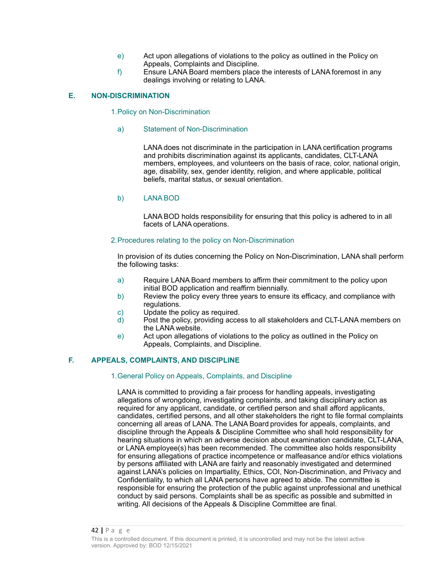- e) Act upon allegations of violations to the policy as outlined in the Policy on Appeals, Complaints and Discipline.
- f) Ensure LANA Board members place the interests of LANA foremost in any dealings involving or relating to LANA.

### **E. NON-DISCRIMINATION**

#### 1.Policy on Non-Discrimination

#### a) Statement of Non-Discrimination

LANA does not discriminate in the participation in LANA certification programs and prohibits discrimination against its applicants, candidates, CLT-LANA members, employees, and volunteers on the basis of race, color, national origin, age, disability, sex, gender identity, religion, and where applicable, political beliefs, marital status, or sexual orientation.

#### b) LANA BOD

LANA BOD holds responsibility for ensuring that this policy is adhered to in all facets of LANA operations.

#### 2.Procedures relating to the policy on Non-Discrimination

In provision of its duties concerning the Policy on Non-Discrimination, LANA shall perform the following tasks:

- a) Require LANA Board members to affirm their commitment to the policy upon initial BOD application and reaffirm biennially.
- b) Review the policy every three years to ensure its efficacy, and compliance with regulations.
- c) Update the policy as required.
- d) Post the policy, providing access to all stakeholders and CLT-LANA members on the LANA website.
- e) Act upon allegations of violations to the policy as outlined in the Policy on Appeals, Complaints, and Discipline.

### **F. APPEALS, COMPLAINTS, AND DISCIPLINE**

#### 1.General Policy on Appeals, Complaints, and Discipline

LANA is committed to providing a fair process for handling appeals, investigating allegations of wrongdoing, investigating complaints, and taking disciplinary action as required for any applicant, candidate, or certified person and shall afford applicants, candidates, certified persons, and all other stakeholders the right to file formal complaints concerning all areas of LANA. The LANA Board provides for appeals, complaints, and discipline through the Appeals & Discipline Committee who shall hold responsibility for hearing situations in which an adverse decision about examination candidate, CLT-LANA, or LANA employee(s) has been recommended. The committee also holds responsibility for ensuring allegations of practice incompetence or malfeasance and/or ethics violations by persons affiliated with LANA are fairly and reasonably investigated and determined against LANA's policies on Impartiality, Ethics, COI, Non-Discrimination, and Privacy and Confidentiality, to which all LANA persons have agreed to abide. The committee is responsible for ensuring the protection of the public against unprofessional and unethical conduct by said persons. Complaints shall be as specific as possible and submitted in writing. All decisions of the Appeals & Discipline Committee are final.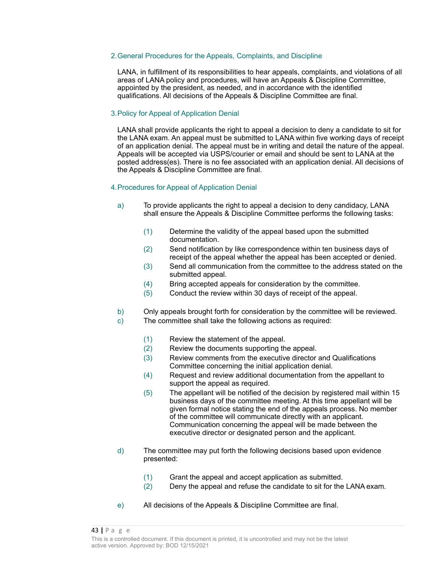#### 2.General Procedures for the Appeals, Complaints, and Discipline

LANA, in fulfillment of its responsibilities to hear appeals, complaints, and violations of all areas of LANA policy and procedures, will have an Appeals & Discipline Committee, appointed by the president, as needed, and in accordance with the identified qualifications. All decisions of the Appeals & Discipline Committee are final.

#### 3.Policy for Appeal of Application Denial

LANA shall provide applicants the right to appeal a decision to deny a candidate to sit for the LANA exam. An appeal must be submitted to LANA within five working days of receipt of an application denial. The appeal must be in writing and detail the nature of the appeal. Appeals will be accepted via USPS/courier or email and should be sent to LANA at the posted address(es). There is no fee associated with an application denial. All decisions of the Appeals & Discipline Committee are final.

#### 4.Procedures for Appeal of Application Denial

- a) To provide applicants the right to appeal a decision to deny candidacy, LANA shall ensure the Appeals & Discipline Committee performs the following tasks:
	- (1) Determine the validity of the appeal based upon the submitted documentation.
	- (2) Send notification by like correspondence within ten business days of receipt of the appeal whether the appeal has been accepted or denied.
	- (3) Send all communication from the committee to the address stated on the submitted appeal.
	- (4) Bring accepted appeals for consideration by the committee.
	- (5) Conduct the review within 30 days of receipt of the appeal.
- b) Only appeals brought forth for consideration by the committee will be reviewed.
- c) The committee shall take the following actions as required:
	- (1) Review the statement of the appeal.
	- (2) Review the documents supporting the appeal.
	- (3) Review comments from the executive director and Qualifications Committee concerning the initial application denial.
	- (4) Request and review additional documentation from the appellant to support the appeal as required.
	- (5) The appellant will be notified of the decision by registered mail within 15 business days of the committee meeting. At this time appellant will be given formal notice stating the end of the appeals process. No member of the committee will communicate directly with an applicant. Communication concerning the appeal will be made between the executive director or designated person and the applicant.
- d) The committee may put forth the following decisions based upon evidence presented:
	- (1) Grant the appeal and accept application as submitted.
	- (2) Deny the appeal and refuse the candidate to sit for the LANA exam.
- e) All decisions of the Appeals & Discipline Committee are final.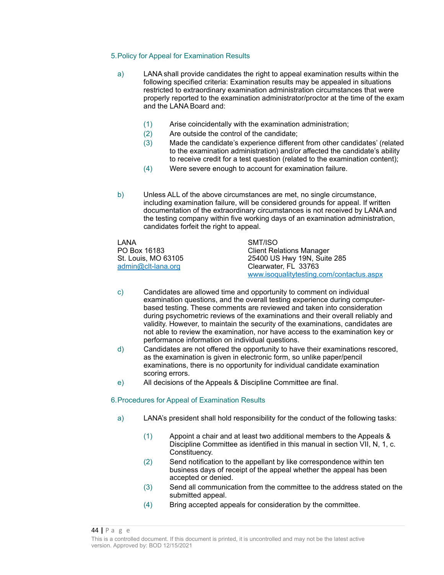#### 5.Policy for Appeal for Examination Results

- a) LANA shall provide candidates the right to appeal examination results within the following specified criteria: Examination results may be appealed in situations restricted to extraordinary examination administration circumstances that were properly reported to the examination administrator/proctor at the time of the exam and the LANA Board and:
	- (1) Arise coincidentally with the examination administration;
	- (2) Are outside the control of the candidate;
	- (3) Made the candidate's experience different from other candidates' (related to the examination administration) and/or affected the candidate's ability to receive credit for a test question (related to the examination content);
	- (4) Were severe enough to account for examination failure.
- b) Unless ALL of the above circumstances are met, no single circumstance, including examination failure, will be considered grounds for appeal. If written documentation of the extraordinary circumstances is not received by LANA and the testing company within five working days of an examination administration, candidates forfeit the right to appeal.

LANA SMT/ISO

PO Box 16183 Client Relations Manager St. Louis, MO 63105 25400 US Hwy 19N, Suite 285 [admin@clt-lana.org](mailto:admin@clt-lana.org) Clearwater, FL 33763 www.isoqualitytesting.com/contactus.aspx

- c) Candidates are allowed time and opportunity to comment on individual examination questions, and the overall testing experience during computerbased testing. These comments are reviewed and taken into consideration during psychometric reviews of the examinations and their overall reliably and validity. However, to maintain the security of the examinations, candidates are not able to review the examination, nor have access to the examination key or performance information on individual questions.
- d) Candidates are not offered the opportunity to have their examinations rescored, as the examination is given in electronic form, so unlike paper/pencil examinations, there is no opportunity for individual candidate examination scoring errors.
- e) All decisions of the Appeals & Discipline Committee are final.

#### 6.Procedures for Appeal of Examination Results

- a) LANA's president shall hold responsibility for the conduct of the following tasks:
	- (1) Appoint a chair and at least two additional members to the Appeals & Discipline Committee as identified in this manual in section VII, N, 1, c. Constituency.
	- (2) Send notification to the appellant by like correspondence within ten business days of receipt of the appeal whether the appeal has been accepted or denied.
	- (3) Send all communication from the committee to the address stated on the submitted appeal.
	- (4) Bring accepted appeals for consideration by the committee.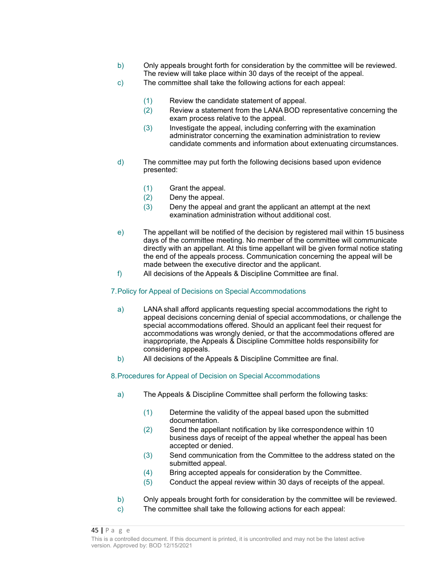- b) Only appeals brought forth for consideration by the committee will be reviewed. The review will take place within 30 days of the receipt of the appeal.
- c) The committee shall take the following actions for each appeal:
	- (1) Review the candidate statement of appeal.
	- (2) Review a statement from the LANA BOD representative concerning the exam process relative to the appeal.
	- (3) Investigate the appeal, including conferring with the examination administrator concerning the examination administration to review candidate comments and information about extenuating circumstances.
- d) The committee may put forth the following decisions based upon evidence presented:
	- (1) Grant the appeal.
	- (2) Deny the appeal.
	- (3) Deny the appeal and grant the applicant an attempt at the next examination administration without additional cost.
- e) The appellant will be notified of the decision by registered mail within 15 business days of the committee meeting. No member of the committee will communicate directly with an appellant. At this time appellant will be given formal notice stating the end of the appeals process. Communication concerning the appeal will be made between the executive director and the applicant.
- f) All decisions of the Appeals & Discipline Committee are final.

#### 7.Policy for Appeal of Decisions on Special Accommodations

- a) LANA shall afford applicants requesting special accommodations the right to appeal decisions concerning denial of special accommodations, or challenge the special accommodations offered. Should an applicant feel their request for accommodations was wrongly denied, or that the accommodations offered are inappropriate, the Appeals & Discipline Committee holds responsibility for considering appeals.
- b) All decisions of the Appeals & Discipline Committee are final.

### 8.Procedures for Appeal of Decision on Special Accommodations

- a) The Appeals & Discipline Committee shall perform the following tasks:
	- (1) Determine the validity of the appeal based upon the submitted documentation.
	- (2) Send the appellant notification by like correspondence within 10 business days of receipt of the appeal whether the appeal has been accepted or denied.
	- (3) Send communication from the Committee to the address stated on the submitted appeal.
	- (4) Bring accepted appeals for consideration by the Committee.
	- (5) Conduct the appeal review within 30 days of receipts of the appeal.
- b) Only appeals brought forth for consideration by the committee will be reviewed.
- c) The committee shall take the following actions for each appeal: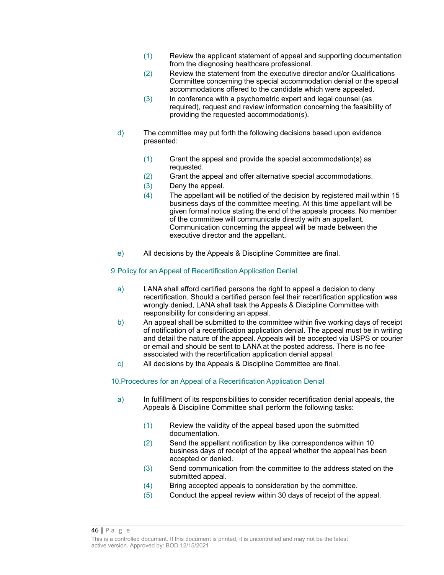- (1) Review the applicant statement of appeal and supporting documentation from the diagnosing healthcare professional.
- (2) Review the statement from the executive director and/or Qualifications Committee concerning the special accommodation denial or the special accommodations offered to the candidate which were appealed.
- (3) In conference with a psychometric expert and legal counsel (as required), request and review information concerning the feasibility of providing the requested accommodation(s).
- d) The committee may put forth the following decisions based upon evidence presented:
	- (1) Grant the appeal and provide the special accommodation(s) as requested.
	- (2) Grant the appeal and offer alternative special accommodations.
	- (3) Deny the appeal.
	- (4) The appellant will be notified of the decision by registered mail within 15 business days of the committee meeting. At this time appellant will be given formal notice stating the end of the appeals process. No member of the committee will communicate directly with an appellant. Communication concerning the appeal will be made between the executive director and the appellant.
- e) All decisions by the Appeals & Discipline Committee are final.

### 9.Policy for an Appeal of Recertification Application Denial

- a) LANA shall afford certified persons the right to appeal a decision to deny recertification. Should a certified person feel their recertification application was wrongly denied, LANA shall task the Appeals & Discipline Committee with responsibility for considering an appeal.
- b) An appeal shall be submitted to the committee within five working days of receipt of notification of a recertification application denial. The appeal must be in writing and detail the nature of the appeal. Appeals will be accepted via USPS or courier or email and should be sent to LANA at the posted address. There is no fee associated with the recertification application denial appeal.
- c) All decisions by the Appeals & Discipline Committee are final.

### 10.Procedures for an Appeal of a Recertification Application Denial

- a) In fulfillment of its responsibilities to consider recertification denial appeals, the Appeals & Discipline Committee shall perform the following tasks:
	- (1) Review the validity of the appeal based upon the submitted documentation.
	- (2) Send the appellant notification by like correspondence within 10 business days of receipt of the appeal whether the appeal has been accepted or denied.
	- (3) Send communication from the committee to the address stated on the submitted appeal.
	- (4) Bring accepted appeals to consideration by the committee.
	- (5) Conduct the appeal review within 30 days of receipt of the appeal.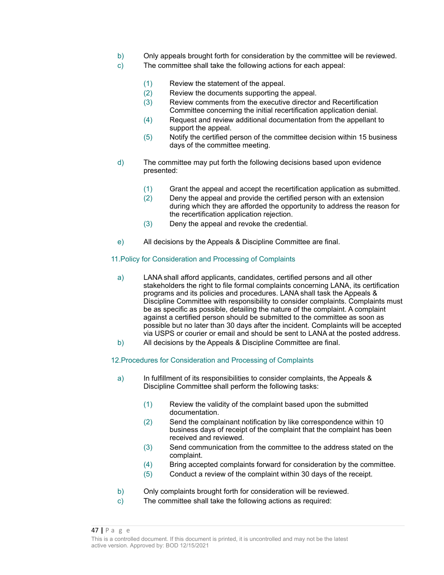- b) Only appeals brought forth for consideration by the committee will be reviewed.
- c) The committee shall take the following actions for each appeal:
	- (1) Review the statement of the appeal.
	- (2) Review the documents supporting the appeal.
	- (3) Review comments from the executive director and Recertification Committee concerning the initial recertification application denial.
	- (4) Request and review additional documentation from the appellant to support the appeal.
	- (5) Notify the certified person of the committee decision within 15 business days of the committee meeting.
- d) The committee may put forth the following decisions based upon evidence presented:
	- (1) Grant the appeal and accept the recertification application as submitted.
	- (2) Deny the appeal and provide the certified person with an extension during which they are afforded the opportunity to address the reason for the recertification application rejection.
	- (3) Deny the appeal and revoke the credential.
- e) All decisions by the Appeals & Discipline Committee are final.

### 11.Policy for Consideration and Processing of Complaints

- a) LANA shall afford applicants, candidates, certified persons and all other stakeholders the right to file formal complaints concerning LANA, its certification programs and its policies and procedures. LANA shall task the Appeals & Discipline Committee with responsibility to consider complaints. Complaints must be as specific as possible, detailing the nature of the complaint. A complaint against a certified person should be submitted to the committee as soon as possible but no later than 30 days after the incident. Complaints will be accepted via USPS or courier or email and should be sent to LANA at the posted address.
- b) All decisions by the Appeals & Discipline Committee are final.

### 12.Procedures for Consideration and Processing of Complaints

- a) In fulfillment of its responsibilities to consider complaints, the Appeals & Discipline Committee shall perform the following tasks:
	- (1) Review the validity of the complaint based upon the submitted documentation.
	- (2) Send the complainant notification by like correspondence within 10 business days of receipt of the complaint that the complaint has been received and reviewed.
	- (3) Send communication from the committee to the address stated on the complaint.
	- (4) Bring accepted complaints forward for consideration by the committee.
	- (5) Conduct a review of the complaint within 30 days of the receipt.
- b) Only complaints brought forth for consideration will be reviewed.
- c) The committee shall take the following actions as required: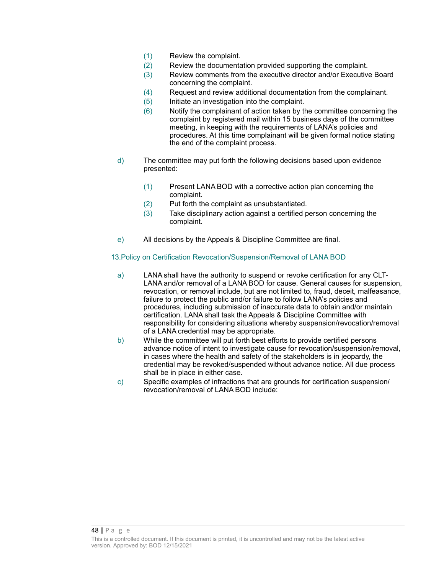- (1) Review the complaint.
- (2) Review the documentation provided supporting the complaint.
- (3) Review comments from the executive director and/or Executive Board concerning the complaint.
- (4) Request and review additional documentation from the complainant.
- (5) Initiate an investigation into the complaint.
- (6) Notify the complainant of action taken by the committee concerning the complaint by registered mail within 15 business days of the committee meeting, in keeping with the requirements of LANA's policies and procedures. At this time complainant will be given formal notice stating the end of the complaint process.
- d) The committee may put forth the following decisions based upon evidence presented:
	- (1) Present LANA BOD with a corrective action plan concerning the complaint.
	- (2) Put forth the complaint as unsubstantiated.
	- (3) Take disciplinary action against a certified person concerning the complaint.
- e) All decisions by the Appeals & Discipline Committee are final.

### 13.Policy on Certification Revocation/Suspension/Removal of LANA BOD

- a) LANA shall have the authority to suspend or revoke certification for any CLT-LANA and/or removal of a LANA BOD for cause. General causes for suspension, revocation, or removal include, but are not limited to, fraud, deceit, malfeasance, failure to protect the public and/or failure to follow LANA's policies and procedures, including submission of inaccurate data to obtain and/or maintain certification. LANA shall task the Appeals & Discipline Committee with responsibility for considering situations whereby suspension/revocation/removal of a LANA credential may be appropriate.
- b) While the committee will put forth best efforts to provide certified persons advance notice of intent to investigate cause for revocation/suspension/removal, in cases where the health and safety of the stakeholders is in jeopardy, the credential may be revoked/suspended without advance notice. All due process shall be in place in either case.
- c) Specific examples of infractions that are grounds for certification suspension/ revocation/removal of LANA BOD include: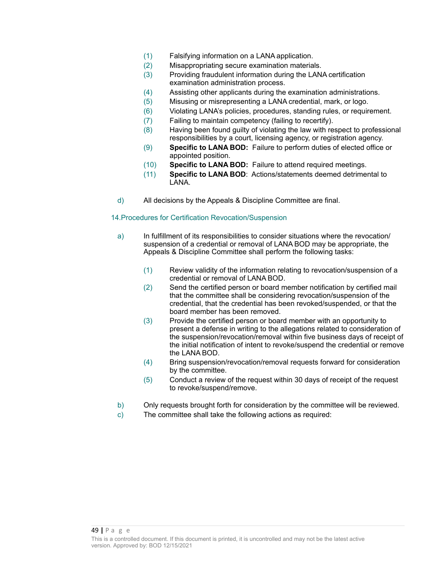- (1) Falsifying information on a LANA application.
- (2) Misappropriating secure examination materials.
- (3) Providing fraudulent information during the LANA certification examination administration process.
- (4) Assisting other applicants during the examination administrations.
- (5) Misusing or misrepresenting a LANA credential, mark, or logo.
- (6) Violating LANA's policies, procedures, standing rules, or requirement.
- (7) Failing to maintain competency (failing to recertify).
- (8) Having been found guilty of violating the law with respect to professional responsibilities by a court, licensing agency, or registration agency.
- (9) **Specific to LANA BOD:** Failure to perform duties of elected office or appointed position.
- (10) **Specific to LANA BOD:** Failure to attend required meetings.
- (11) **Specific to LANA BOD**: Actions/statements deemed detrimental to LANA.
- d) All decisions by the Appeals & Discipline Committee are final.

### 14.Procedures for Certification Revocation/Suspension

- a) In fulfillment of its responsibilities to consider situations where the revocation/ suspension of a credential or removal of LANA BOD may be appropriate, the Appeals & Discipline Committee shall perform the following tasks:
	- (1) Review validity of the information relating to revocation/suspension of a credential or removal of LANA BOD.
	- (2) Send the certified person or board member notification by certified mail that the committee shall be considering revocation/suspension of the credential, that the credential has been revoked/suspended, or that the board member has been removed.
	- (3) Provide the certified person or board member with an opportunity to present a defense in writing to the allegations related to consideration of the suspension/revocation/removal within five business days of receipt of the initial notification of intent to revoke/suspend the credential or remove the LANA BOD.
	- (4) Bring suspension/revocation/removal requests forward for consideration by the committee.
	- (5) Conduct a review of the request within 30 days of receipt of the request to revoke/suspend/remove.
- b) Only requests brought forth for consideration by the committee will be reviewed.
- c) The committee shall take the following actions as required: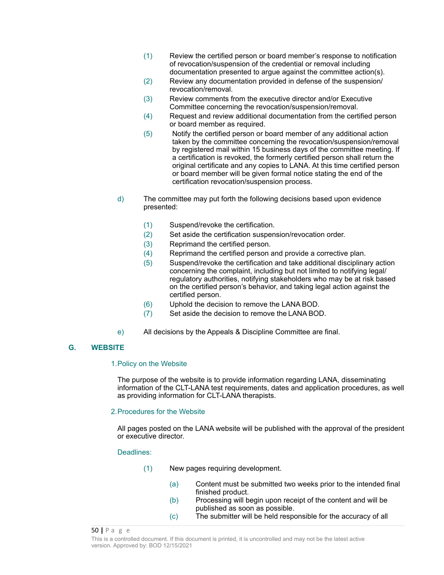- (1) Review the certified person or board member's response to notification of revocation/suspension of the credential or removal including documentation presented to argue against the committee action(s).
- (2) Review any documentation provided in defense of the suspension/ revocation/removal.
- (3) Review comments from the executive director and/or Executive Committee concerning the revocation/suspension/removal.
- (4) Request and review additional documentation from the certified person or board member as required.
- (5) Notify the certified person or board member of any additional action taken by the committee concerning the revocation/suspension/removal by registered mail within 15 business days of the committee meeting. If a certification is revoked, the formerly certified person shall return the original certificate and any copies to LANA. At this time certified person or board member will be given formal notice stating the end of the certification revocation/suspension process.
- d) The committee may put forth the following decisions based upon evidence presented:
	- (1) Suspend/revoke the certification.
	- (2) Set aside the certification suspension/revocation order.
	- (3) Reprimand the certified person.
	- (4) Reprimand the certified person and provide a corrective plan.
	- (5) Suspend/revoke the certification and take additional disciplinary action concerning the complaint, including but not limited to notifying legal/ regulatory authorities, notifying stakeholders who may be at risk based on the certified person's behavior, and taking legal action against the certified person.
	- (6) Uphold the decision to remove the LANA BOD.
	- (7) Set aside the decision to remove the LANA BOD.
- e) All decisions by the Appeals & Discipline Committee are final.

### **G. WEBSITE**

#### 1.Policy on the Website

The purpose of the website is to provide information regarding LANA, disseminating information of the CLT-LANA test requirements, dates and application procedures, as well as providing information for CLT-LANA therapists.

#### 2.Procedures for the Website

All pages posted on the LANA website will be published with the approval of the president or executive director.

#### Deadlines:

- (1) New pages requiring development.
	- (a) Content must be submitted two weeks prior to the intended final finished product.
	- (b) Processing will begin upon receipt of the content and will be published as soon as possible.
	- (c) The submitter will be held responsible for the accuracy of all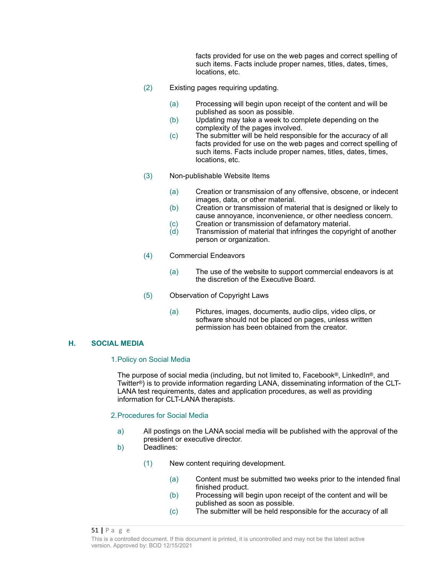facts provided for use on the web pages and correct spelling of such items. Facts include proper names, titles, dates, times, locations, etc.

- (2) Existing pages requiring updating.
	- (a) Processing will begin upon receipt of the content and will be published as soon as possible.
	- (b) Updating may take a week to complete depending on the complexity of the pages involved.
	- (c) The submitter will be held responsible for the accuracy of all facts provided for use on the web pages and correct spelling of such items. Facts include proper names, titles, dates, times, locations, etc.
- (3) Non-publishable Website Items
	- (a) Creation or transmission of any offensive, obscene, or indecent images, data, or other material.
	- (b) Creation or transmission of material that is designed or likely to cause annoyance, inconvenience, or other needless concern.
	- (c) Creation or transmission of defamatory material.
	- (d) Transmission of material that infringes the copyright of another person or organization.
- (4) Commercial Endeavors
	- (a) The use of the website to support commercial endeavors is at the discretion of the Executive Board.
- (5) Observation of Copyright Laws
	- (a) Pictures, images, documents, audio clips, video clips, or software should not be placed on pages, unless written permission has been obtained from the creator.

#### **H. SOCIAL MEDIA**

#### 1.Policy on Social Media

The purpose of social media (including, but not limited to, Facebook®, LinkedIn®, and Twitter®) is to provide information regarding LANA, disseminating information of the CLT-LANA test requirements, dates and application procedures, as well as providing information for CLT-LANA therapists.

#### 2.Procedures for Social Media

- a) All postings on the LANA social media will be published with the approval of the president or executive director.
- b) Deadlines:
	- (1) New content requiring development.
		- (a) Content must be submitted two weeks prior to the intended final finished product.
		- (b) Processing will begin upon receipt of the content and will be published as soon as possible.
		- (c) The submitter will be held responsible for the accuracy of all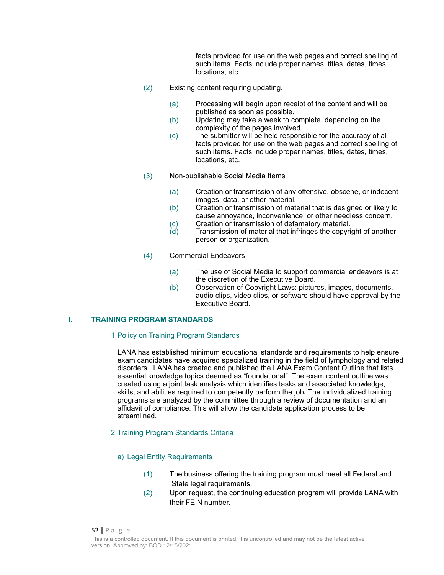facts provided for use on the web pages and correct spelling of such items. Facts include proper names, titles, dates, times, locations, etc.

- (2) Existing content requiring updating.
	- (a) Processing will begin upon receipt of the content and will be published as soon as possible.
	- (b) Updating may take a week to complete, depending on the complexity of the pages involved.
	- (c) The submitter will be held responsible for the accuracy of all facts provided for use on the web pages and correct spelling of such items. Facts include proper names, titles, dates, times, locations, etc.
- (3) Non-publishable Social Media Items
	- (a) Creation or transmission of any offensive, obscene, or indecent images, data, or other material.
	- (b) Creation or transmission of material that is designed or likely to cause annoyance, inconvenience, or other needless concern.
	- (c) Creation or transmission of defamatory material.
	- (d) Transmission of material that infringes the copyright of another person or organization.
- (4) Commercial Endeavors
	- (a) The use of Social Media to support commercial endeavors is at the discretion of the Executive Board.
	- (b) Observation of Copyright Laws: pictures, images, documents, audio clips, video clips, or software should have approval by the Executive Board.

### **I. TRAINING PROGRAM STANDARDS**

#### 1.Policy on Training Program Standards

LANA has established minimum educational standards and requirements to help ensure exam candidates have acquired specialized training in the field of lymphology and related disorders. LANA has created and published the LANA Exam Content Outline that lists essential knowledge topics deemed as "foundational". The exam content outline was created using a joint task analysis which identifies tasks and associated knowledge, skills, and abilities required to competently perform the job**.** The individualized training programs are analyzed by the committee through a review of documentation and an affidavit of compliance. This will allow the candidate application process to be streamlined.

#### 2.Training Program Standards Criteria

#### a) Legal Entity Requirements

- (1) The business offering the training program must meet all Federal and State legal requirements.
- (2) Upon request, the continuing education program will provide LANA with their FEIN number.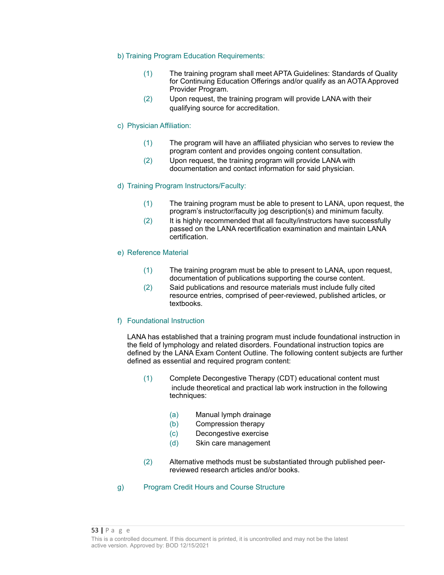#### b) Training Program Education Requirements:

- (1) The training program shall meet APTA Guidelines: Standards of Quality for Continuing Education Offerings and/or qualify as an AOTA Approved Provider Program.
- (2) Upon request, the training program will provide LANA with their qualifying source for accreditation.

### c) Physician Affiliation:

- (1) The program will have an affiliated physician who serves to review the program content and provides ongoing content consultation.
- (2) Upon request, the training program will provide LANA with documentation and contact information for said physician.

### d) Training Program Instructors/Faculty:

- (1) The training program must be able to present to LANA, upon request, the program's instructor/faculty jog description(s) and minimum faculty.
- (2) It is highly recommended that all faculty/instructors have successfully passed on the LANA recertification examination and maintain LANA certification.

#### e) Reference Material

- (1) The training program must be able to present to LANA, upon request, documentation of publications supporting the course content.
- (2) Said publications and resource materials must include fully cited resource entries, comprised of peer-reviewed, published articles, or textbooks.

#### f) Foundational Instruction

LANA has established that a training program must include foundational instruction in the field of lymphology and related disorders. Foundational instruction topics are defined by the LANA Exam Content Outline. The following content subjects are further defined as essential and required program content:

- (1) Complete Decongestive Therapy (CDT) educational content must include theoretical and practical lab work instruction in the following techniques:
	- (a) Manual lymph drainage
	- (b) Compression therapy
	- (c) Decongestive exercise
	- (d) Skin care management
- (2) Alternative methods must be substantiated through published peerreviewed research articles and/or books.
- g) Program Credit Hours and Course Structure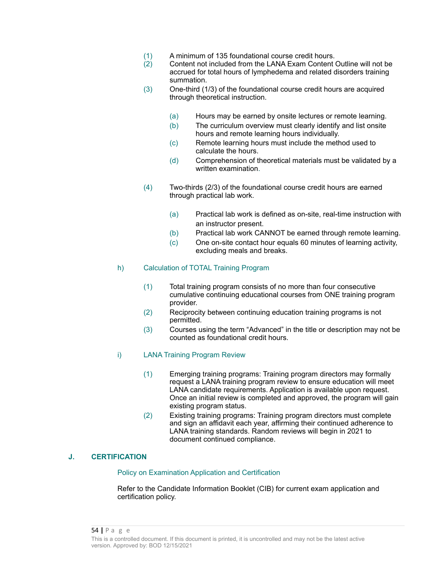- (1) A minimum of 135 foundational course credit hours.
- $\overline{2}$  Content not included from the LANA Exam Content Outline will not be accrued for total hours of lymphedema and related disorders training summation.
- (3) One-third (1/3) of the foundational course credit hours are acquired through theoretical instruction.
	- (a) Hours may be earned by onsite lectures or remote learning.
	- (b) The curriculum overview must clearly identify and list onsite hours and remote learning hours individually.
	- (c) Remote learning hours must include the method used to calculate the hours.
	- (d) Comprehension of theoretical materials must be validated by a written examination.
- (4) Two-thirds (2/3) of the foundational course credit hours are earned through practical lab work.
	- (a) Practical lab work is defined as on-site, real-time instruction with an instructor present.
	- (b) Practical lab work CANNOT be earned through remote learning.
	- (c) One on-site contact hour equals 60 minutes of learning activity, excluding meals and breaks.

### h) Calculation of TOTAL Training Program

- (1) Total training program consists of no more than four consecutive cumulative continuing educational courses from ONE training program provider.
- (2) Reciprocity between continuing education training programs is not permitted.
- (3) Courses using the term "Advanced" in the title or description may not be counted as foundational credit hours.

### i) LANA Training Program Review

- (1) Emerging training programs: Training program directors may formally request a LANA training program review to ensure education will meet LANA candidate requirements. Application is available upon request. Once an initial review is completed and approved, the program will gain existing program status.
- (2) Existing training programs: Training program directors must complete and sign an affidavit each year, affirming their continued adherence to LANA training standards. Random reviews will begin in 2021 to document continued compliance.

#### **J. CERTIFICATION**

#### Policy on Examination Application and Certification

Refer to the Candidate Information Booklet (CIB) for current exam application and certification policy.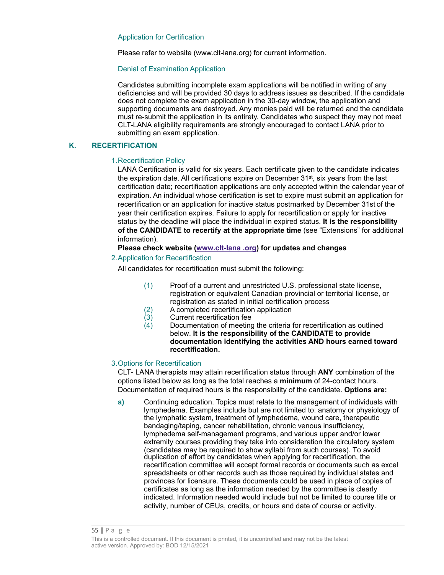#### Application for Certification

Please refer to website (www.clt-lana.org) for current information.

#### Denial of Examination Application

Candidates submitting incomplete exam applications will be notified in writing of any deficiencies and will be provided 30 days to address issues as described. If the candidate does not complete the exam application in the 30-day window, the application and supporting documents are destroyed. Any monies paid will be returned and the candidate must re-submit the application in its entirety. Candidates who suspect they may not meet CLT-LANA eligibility requirements are strongly encouraged to contact LANA prior to submitting an exam application.

### **K. RECERTIFICATION**

#### 1.Recertification Policy

LANA Certification is valid for six years. Each certificate given to the candidate indicates the expiration date. All certifications expire on December  $31<sup>st</sup>$ , six years from the last certification date; recertification applications are only accepted within the calendar year of expiration. An individual whose certification is set to expire must submit an application for recertification or an application for inactive status postmarked by December 31stof the year their certification expires. Failure to apply for recertification or apply for inactive status by the deadline will place the individual in expired status. **It is the responsibility of the CANDIDATE to recertify at the appropriate time** (see "Extensions" for additional information).

#### **Please check website (www.clt-lana .org) for updates and changes**

### 2.Application for Recertification

All candidates for recertification must submit the following:

- (1) Proof of a current and unrestricted U.S. professional state license, registration or equivalent Canadian provincial or territorial license, or registration as stated in initial certification process
- (2) A completed recertification application
- $(3)$  Current recertification fee<br>  $(4)$  Documentation of meeting
- Documentation of meeting the criteria for recertification as outlined below. **It is the responsibility of the CANDIDATE to provide documentation identifying the activities AND hours earned toward recertification.**

#### 3.Options for Recertification

CLT- LANA therapists may attain recertification status through **ANY** combination of the options listed below as long as the total reaches a **minimum** of 24-contact hours. Documentation of required hours is the responsibility of the candidate. **Options are:**

**a)** Continuing education. Topics must relate to the management of individuals with lymphedema. Examples include but are not limited to: anatomy or physiology of the lymphatic system, treatment of lymphedema, wound care, therapeutic bandaging/taping, cancer rehabilitation, chronic venous insufficiency, lymphedema self-management programs, and various upper and/or lower extremity courses providing they take into consideration the circulatory system (candidates may be required to show syllabi from such courses). To avoid duplication of effort by candidates when applying for recertification, the recertification committee will accept formal records or documents such as excel spreadsheets or other records such as those required by individual states and provinces for licensure. These documents could be used in place of copies of certificates as long as the information needed by the committee is clearly indicated. Information needed would include but not be limited to course title or activity, number of CEUs, credits, or hours and date of course or activity.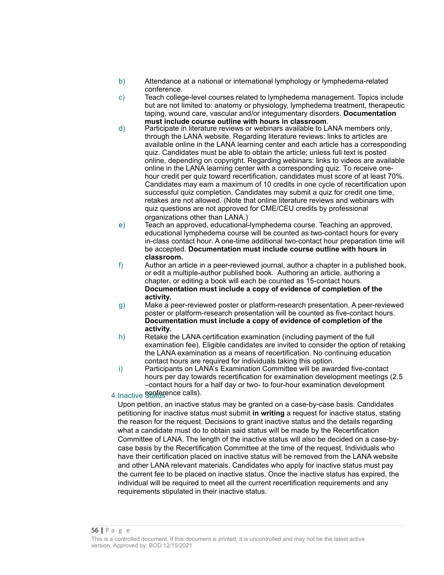- b) Attendance at a national or international lymphology or lymphedema-related conference.
- c) Teach college-level courses related to lymphedema management. Topics include but are not limited to: anatomy or physiology, lymphedema treatment, therapeutic taping, wound care, vascular and/or integumentary disorders. **Documentation must include course outline with hours in classroom**.
- d) Participate in literature reviews or webinars available to LANA members only, through the LANA website. Regarding literature reviews: links to articles are available online in the LANA learning center and each article has a corresponding quiz. Candidates must be able to obtain the article; unless full text is posted online, depending on copyright. Regarding webinars: links to videos are available online in the LANA learning center with a corresponding quiz. To receive onehour credit per quiz toward recertification, candidates must score of at least 70%. Candidates may earn a maximum of 10 credits in one cycle of recertification upon successful quiz completion. Candidates may submit a quiz for credit one time, retakes are not allowed. (Note that online literature reviews and webinars with quiz questions are not approved for CME/CEU credits by professional organizations other than LANA.)
- e) Teach an approved, educational-lymphedema course. Teaching an approved, educational lymphedema course will be counted as two-contact hours for every in-class contact hour. A one-time additional two-contact hour preparation time will be accepted. **Documentation must include course outline with hours in classroom.**
- f) Author an article in a peer-reviewed journal, author a chapter in a published book, or edit a multiple-author published book. Authoring an article, authoring a chapter, or editing a book will each be counted as 15-contact hours. **Documentation must include a copy of evidence of completion of the activity.**
- g) Make a peer-reviewed poster or platform-research presentation. A peer-reviewed poster or platform-research presentation will be counted as five-contact hours. **Documentation must include a copy of evidence of completion of the activity.**
- h) Retake the LANA certification examination (including payment of the full examination fee). Eligible candidates are invited to consider the option of retaking the LANA examination as a means of recertification. No continuing education contact hours are required for individuals taking this option.
- i) Participants on LANA's Examination Committee will be awarded five-contact hours per day towards recertification for examination development meetings (2.5 –contact hours for a half day or two- to four-hour examination development

## 4. Inactive Sonference calls).

Upon petition, an inactive status may be granted on a case-by-case basis. Candidates petitioning for inactive status must submit **in writing** a request for inactive status, stating the reason for the request. Decisions to grant inactive status and the details regarding what a candidate must do to obtain said status will be made by the Recertification Committee of LANA. The length of the inactive status will also be decided on a case-bycase basis by the Recertification Committee at the time of the request. Individuals who have their certification placed on inactive status will be removed from the LANA website and other LANA relevant materials. Candidates who apply for inactive status must pay the current fee to be placed on inactive status. Once the inactive status has expired, the individual will be required to meet all the current recertification requirements and any requirements stipulated in their inactive status.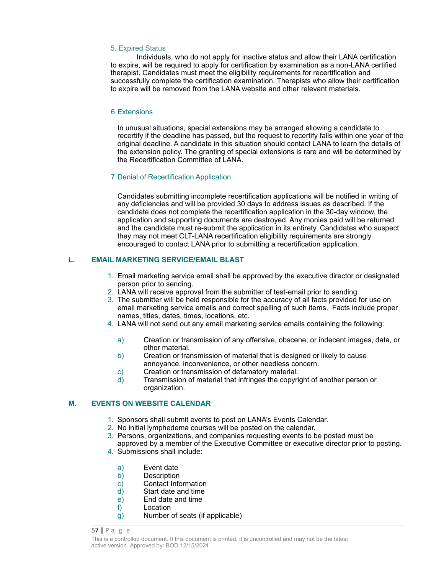#### 5. Expired Status

Individuals, who do not apply for inactive status and allow their LANA certification to expire, will be required to apply for certification by examination as a non-LANA certified therapist. Candidates must meet the eligibility requirements for recertification and successfully complete the certification examination. Therapists who allow their certification to expire will be removed from the LANA website and other relevant materials.

### 6.Extensions

In unusual situations, special extensions may be arranged allowing a candidate to recertify if the deadline has passed, but the request to recertify falls within one year of the original deadline. A candidate in this situation should contact LANA to learn the details of the extension policy. The granting of special extensions is rare and will be determined by the Recertification Committee of LANA.

#### 7.Denial of Recertification Application

Candidates submitting incomplete recertification applications will be notified in writing of any deficiencies and will be provided 30 days to address issues as described. If the candidate does not complete the recertification application in the 30-day window, the application and supporting documents are destroyed. Any monies paid will be returned and the candidate must re-submit the application in its entirety. Candidates who suspect they may not meet CLT-LANA recertification eligibility requirements are strongly encouraged to contact LANA prior to submitting a recertification application.

### **L. EMAIL MARKETING SERVICE/EMAIL BLAST**

- 1. Email marketing service email shall be approved by the executive director or designated person prior to sending.
- 2. LANA will receive approval from the submitter of test-email prior to sending.
- 3. The submitter will be held responsible for the accuracy of all facts provided for use on email marketing service emails and correct spelling of such items. Facts include proper names, titles, dates, times, locations, etc.
- 4. LANA will not send out any email marketing service emails containing the following:
	- a) Creation or transmission of any offensive, obscene, or indecent images, data, or other material.
	- b) Creation or transmission of material that is designed or likely to cause annoyance, inconvenience, or other needless concern.
	- c) Creation or transmission of defamatory material.
	- d) Transmission of material that infringes the copyright of another person or organization.

### **M. EVENTS ON WEBSITE CALENDAR**

- 1. Sponsors shall submit events to post on LANA's Events Calendar.
- 2. No initial lymphedema courses will be posted on the calendar.
- 3. Persons, organizations, and companies requesting events to be posted must be
- approved by a member of the Executive Committee or executive director prior to posting. 4. Submissions shall include:
	- a) Event date
	- b) Description
	- c) Contact Information<br>d) Start date and time
	- Start date and time
	- e) End date and time
	- f) Location
	- g) Number of seats (if applicable)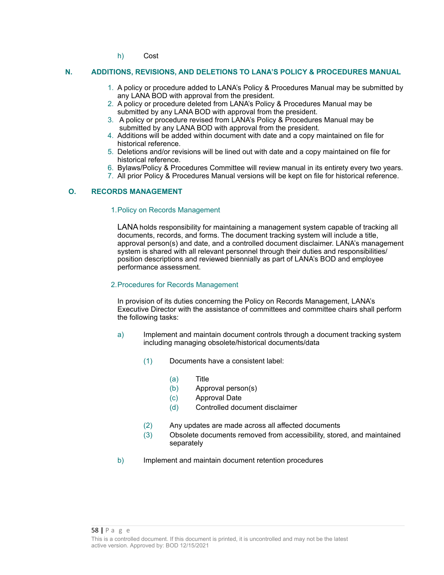h) Cost

### **N. ADDITIONS, REVISIONS, AND DELETIONS TO LANA'S POLICY & PROCEDURES MANUAL**

- 1. A policy or procedure added to LANA's Policy & Procedures Manual may be submitted by any LANA BOD with approval from the president.
- 2. A policy or procedure deleted from LANA's Policy & Procedures Manual may be submitted by any LANA BOD with approval from the president.
- 3. A policy or procedure revised from LANA's Policy & Procedures Manual may be submitted by any LANA BOD with approval from the president.
- 4. Additions will be added within document with date and a copy maintained on file for historical reference.
- 5. Deletions and/or revisions will be lined out with date and a copy maintained on file for historical reference.
- 6. Bylaws/Policy & Procedures Committee will review manual in its entirety every two years.
- 7. All prior Policy & Procedures Manual versions will be kept on file for historical reference.

### **O. RECORDS MANAGEMENT**

#### 1.Policy on Records Management

LANA holds responsibility for maintaining a management system capable of tracking all documents, records, and forms. The document tracking system will include a title, approval person(s) and date, and a controlled document disclaimer. LANA's management system is shared with all relevant personnel through their duties and responsibilities/ position descriptions and reviewed biennially as part of LANA's BOD and employee performance assessment.

#### 2.Procedures for Records Management

In provision of its duties concerning the Policy on Records Management, LANA's Executive Director with the assistance of committees and committee chairs shall perform the following tasks:

- a) Implement and maintain document controls through a document tracking system including managing obsolete/historical documents/data
	- (1) Documents have a consistent label:
		- (a) Title
		- (b) Approval person(s)
		- (c) Approval Date
		- (d) Controlled document disclaimer
	- (2) Any updates are made across all affected documents
	- (3) Obsolete documents removed from accessibility, stored, and maintained separately
- b) Implement and maintain document retention procedures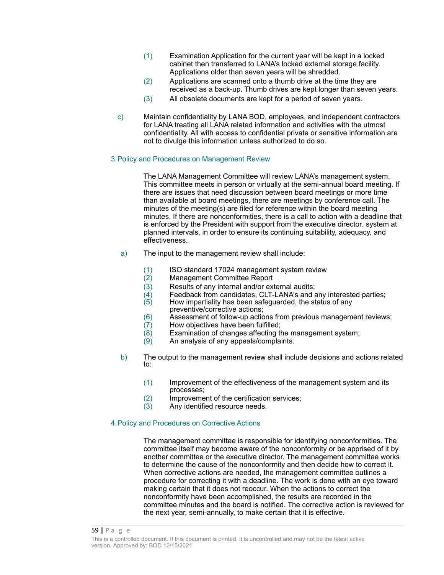- (1) Examination Application for the current year will be kept in a locked cabinet then transferred to LANA's locked external storage facility. Applications older than seven years will be shredded.
- (2) Applications are scanned onto a thumb drive at the time they are received as a back-up. Thumb drives are kept longer than seven years.
- (3) All obsolete documents are kept for a period of seven years.
- c) Maintain confidentiality by LANA BOD, employees, and independent contractors for LANA treating all LANA related information and activities with the utmost confidentiality. All with access to confidential private or sensitive information are not to divulge this information unless authorized to do so.

#### 3.Policy and Procedures on Management Review

The LANA Management Committee will review LANA's management system. This committee meets in person or virtually at the semi-annual board meeting. If there are issues that need discussion between board meetings or more time than available at board meetings, there are meetings by conference call. The minutes of the meeting(s) are filed for reference within the board meeting minutes. If there are nonconformities, there is a call to action with a deadline that is enforced by the President with support from the executive director. system at planned intervals, in order to ensure its continuing suitability, adequacy, and effectiveness.

- a) The input to the management review shall include:
	- (1) ISO standard 17024 management system review
	- Management Committee Report
	-
	- (3) Results of any internal and/or external audits;<br>(4) Feedback from candidates, CLT-LANA's and a  $\overline{A}$  Feedback from candidates, CLT-LANA's and any interested parties;<br>(5) How impartiality has been safeguarded, the status of any
	- How impartiality has been safeguarded, the status of any preventive/corrective actions;
	- (6) Assessment of follow-up actions from previous management reviews;
	- $(7)$  How objectives have been fulfilled;<br> $(8)$  Examination of changes affecting the
	- Examination of changes affecting the management system;
	- (9) An analysis of any appeals/complaints.
- b) The output to the management review shall include decisions and actions related to:
	- (1) Improvement of the effectiveness of the management system and its processes;
	- $(2)$  Improvement of the certification services;<br> $(3)$  Any identified resource needs.
	- Any identified resource needs.

### 4.Policy and Procedures on Corrective Actions

The management committee is responsible for identifying nonconformities. The committee itself may become aware of the nonconformity or be apprised of it by another committee or the executive director. The management committee works to determine the cause of the nonconformity and then decide how to correct it. When corrective actions are needed, the management committee outlines a procedure for correcting it with a deadline. The work is done with an eye toward making certain that it does not reoccur. When the actions to correct the nonconformity have been accomplished, the results are recorded in the committee minutes and the board is notified. The corrective action is reviewed for the next year, semi-annually, to make certain that it is effective.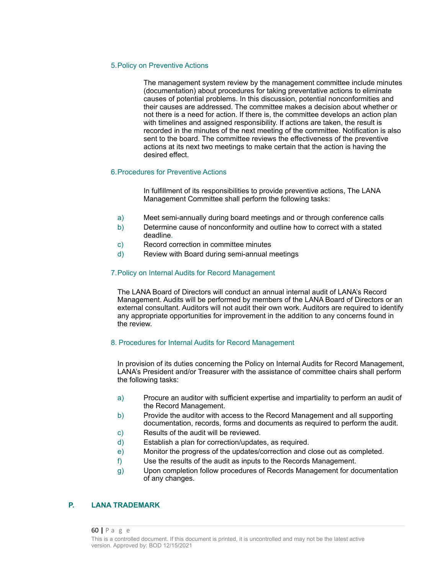#### 5.Policy on Preventive Actions

The management system review by the management committee include minutes (documentation) about procedures for taking preventative actions to eliminate causes of potential problems. In this discussion, potential nonconformities and their causes are addressed. The committee makes a decision about whether or not there is a need for action. If there is, the committee develops an action plan with timelines and assigned responsibility. If actions are taken, the result is recorded in the minutes of the next meeting of the committee. Notification is also sent to the board. The committee reviews the effectiveness of the preventive actions at its next two meetings to make certain that the action is having the desired effect.

### 6.Procedures for Preventive Actions

In fulfillment of its responsibilities to provide preventive actions, The LANA Management Committee shall perform the following tasks:

- a) Meet semi-annually during board meetings and or through conference calls
- b) Determine cause of nonconformity and outline how to correct with a stated deadline.
- c) Record correction in committee minutes
- d) Review with Board during semi-annual meetings

#### 7.Policy on Internal Audits for Record Management

The LANA Board of Directors will conduct an annual internal audit of LANA's Record Management. Audits will be performed by members of the LANA Board of Directors or an external consultant. Auditors will not audit their own work. Auditors are required to identify any appropriate opportunities for improvement in the addition to any concerns found in the review.

#### 8. Procedures for Internal Audits for Record Management

In provision of its duties concerning the Policy on Internal Audits for Record Management, LANA's President and/or Treasurer with the assistance of committee chairs shall perform the following tasks:

- a) Procure an auditor with sufficient expertise and impartiality to perform an audit of the Record Management.
- b) Provide the auditor with access to the Record Management and all supporting documentation, records, forms and documents as required to perform the audit.
- c) Results of the audit will be reviewed.
- d) Establish a plan for correction/updates, as required.
- e) Monitor the progress of the updates/correction and close out as completed.
- f) Use the results of the audit as inputs to the Records Management.
- g) Upon completion follow procedures of Records Management for documentation of any changes.

#### **P. LANA TRADEMARK**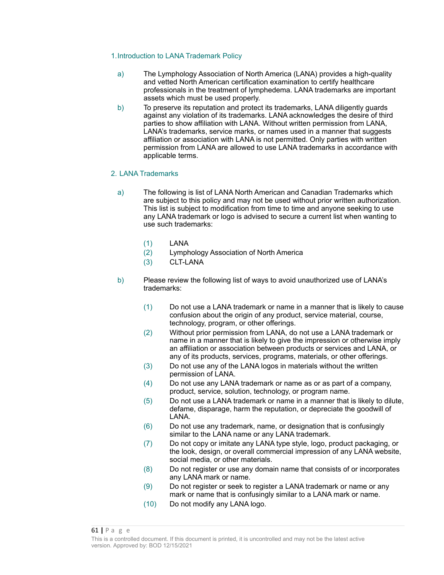### 1.Introduction to LANA Trademark Policy

- a) The Lymphology Association of North America (LANA) provides a high-quality and vetted North American certification examination to certify healthcare professionals in the treatment of lymphedema. LANA trademarks are important assets which must be used properly.
- b) To preserve its reputation and protect its trademarks, LANA diligently guards against any violation of its trademarks. LANA acknowledges the desire of third parties to show affiliation with LANA. Without written permission from LANA, LANA's trademarks, service marks, or names used in a manner that suggests affiliation or association with LANA is not permitted. Only parties with written permission from LANA are allowed to use LANA trademarks in accordance with applicable terms.

### 2. LANA Trademarks

- a) The following is list of LANA North American and Canadian Trademarks which are subject to this policy and may not be used without prior written authorization. This list is subject to modification from time to time and anyone seeking to use any LANA trademark or logo is advised to secure a current list when wanting to use such trademarks:
	- (1) LANA
	- (2) Lymphology Association of North America
	- (3) CLT-LANA
- b) Please review the following list of ways to avoid unauthorized use of LANA's trademarks:
	- (1) Do not use a LANA trademark or name in a manner that is likely to cause confusion about the origin of any product, service material, course, technology, program, or other offerings.
	- (2) Without prior permission from LANA, do not use a LANA trademark or name in a manner that is likely to give the impression or otherwise imply an affiliation or association between products or services and LANA, or any of its products, services, programs, materials, or other offerings.
	- (3) Do not use any of the LANA logos in materials without the written permission of LANA.
	- (4) Do not use any LANA trademark or name as or as part of a company, product, service, solution, technology, or program name.
	- (5) Do not use a LANA trademark or name in a manner that is likely to dilute, defame, disparage, harm the reputation, or depreciate the goodwill of LANA.
	- (6) Do not use any trademark, name, or designation that is confusingly similar to the LANA name or any LANA trademark.
	- (7) Do not copy or imitate any LANA type style, logo, product packaging, or the look, design, or overall commercial impression of any LANA website, social media, or other materials.
	- (8) Do not register or use any domain name that consists of or incorporates any LANA mark or name.
	- (9) Do not register or seek to register a LANA trademark or name or any mark or name that is confusingly similar to a LANA mark or name.
	- (10) Do not modify any LANA logo.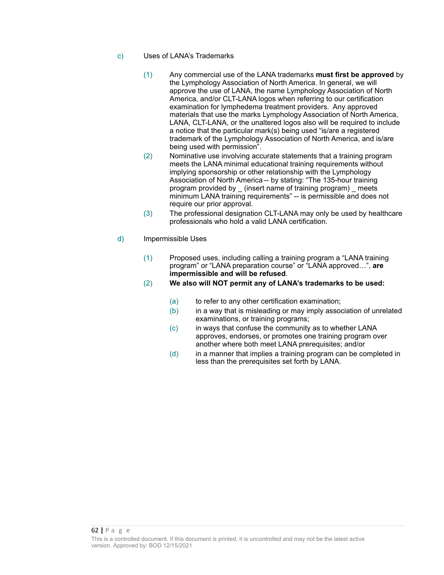- c) Uses of LANA's Trademarks
	- (1) Any commercial use of the LANA trademarks **must first be approved** by the Lymphology Association of North America. In general, we will approve the use of LANA, the name Lymphology Association of North America, and/or CLT-LANA logos when referring to our certification examination for lymphedema treatment providers. Any approved materials that use the marks Lymphology Association of North America, LANA, CLT-LANA, or the unaltered logos also will be required to include a notice that the particular mark(s) being used "is/are a registered trademark of the Lymphology Association of North America, and is/are being used with permission".
	- (2) Nominative use involving accurate statements that a training program meets the LANA minimal educational training requirements without implying sponsorship or other relationship with the Lymphology Association of North America -- by stating: "The 135-hour training program provided by \_ (insert name of training program) \_ meets minimum LANA training requirements" -- is permissible and does not require our prior approval.
	- (3) The professional designation CLT-LANA may only be used by healthcare professionals who hold a valid LANA certification.
- d) Impermissible Uses
	- (1) Proposed uses, including calling a training program a "LANA training program" or "LANA preparation course" or "LANA approved…", **are impermissible and will be refused**.
	- (2) **We also will NOT permit any of LANA's trademarks to be used:**
		- (a) to refer to any other certification examination;
		- $(b)$  in a way that is misleading or may imply association of unrelated examinations, or training programs;
		- (c) in ways that confuse the community as to whether LANA approves, endorses, or promotes one training program over another where both meet LANA prerequisites; and/or
		- (d) in a manner that implies a training program can be completed in less than the prerequisites set forth by LANA.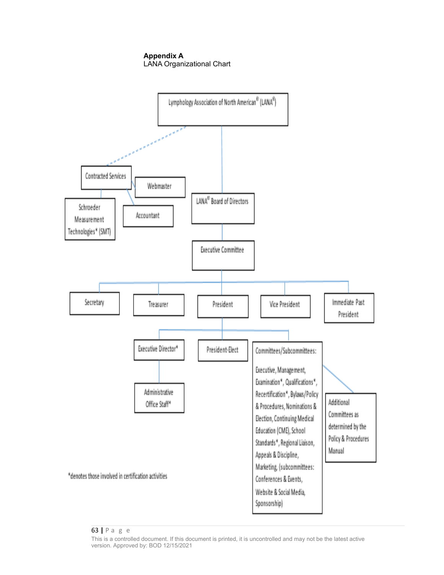**Appendix A** LANA Organizational Chart



#### 63 **|** P a g e

This is a controlled document. If this document is printed, it is uncontrolled and may not be the latest active version. Approved by: BOD 12/15/2021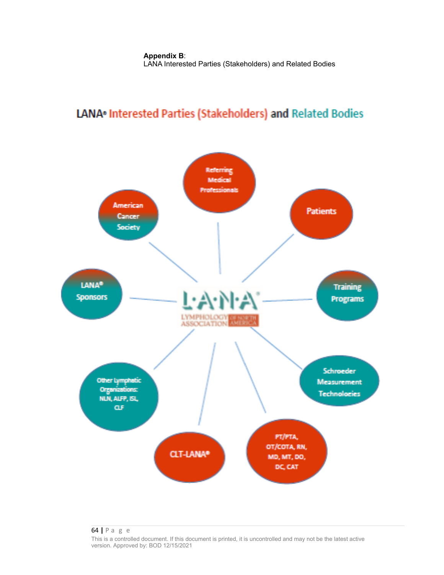# LANA<sup>®</sup> Interested Parties (Stakeholders) and Related Bodies